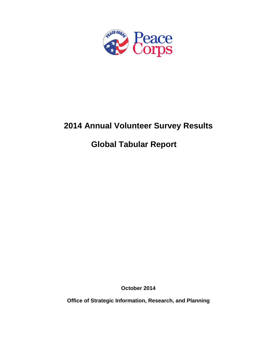

# **2014 Annual Volunteer Survey Results**

# **Global Tabular Report**

**October 2014**

**Office of Strategic Information, Research, and Planning**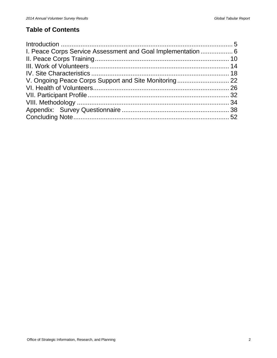## **Table of Contents**

| I. Peace Corps Service Assessment and Goal Implementation  6 |  |
|--------------------------------------------------------------|--|
|                                                              |  |
|                                                              |  |
|                                                              |  |
|                                                              |  |
|                                                              |  |
|                                                              |  |
|                                                              |  |
|                                                              |  |
|                                                              |  |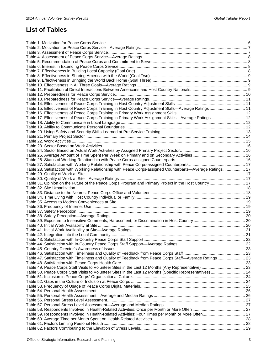## **List of Tables**

| Table 15. Effectiveness of Peace Corps Training in Host Country Adjustment Skills-Average Ratings  11      |  |
|------------------------------------------------------------------------------------------------------------|--|
|                                                                                                            |  |
| Table 17. Effectiveness of Peace Corps Training in Primary Work Assignment Skills-Average Ratings 12       |  |
|                                                                                                            |  |
|                                                                                                            |  |
|                                                                                                            |  |
|                                                                                                            |  |
|                                                                                                            |  |
|                                                                                                            |  |
|                                                                                                            |  |
|                                                                                                            |  |
|                                                                                                            |  |
|                                                                                                            |  |
|                                                                                                            |  |
| Table 28. Satisfaction with Working Relationship with Peace Corps-assigned Counterparts-Average Ratings 17 |  |
|                                                                                                            |  |
|                                                                                                            |  |
| Table 31. Opinion on the Future of the Peace Corps Program and Primary Project in the Host Country 17      |  |
|                                                                                                            |  |
|                                                                                                            |  |
|                                                                                                            |  |
|                                                                                                            |  |
|                                                                                                            |  |
|                                                                                                            |  |
|                                                                                                            |  |
|                                                                                                            |  |
|                                                                                                            |  |
|                                                                                                            |  |
|                                                                                                            |  |
|                                                                                                            |  |
|                                                                                                            |  |
|                                                                                                            |  |
|                                                                                                            |  |
|                                                                                                            |  |
|                                                                                                            |  |
| Table 47. Satisfaction with Timeliness and Quality of Feedback from Peace Corps Staff-Average Ratings 23   |  |
|                                                                                                            |  |
|                                                                                                            |  |
| Table 50. Peace Corps Staff Visits to Volunteer Sites in the Last 12 Months (Specific Representatives)  24 |  |
|                                                                                                            |  |
|                                                                                                            |  |
|                                                                                                            |  |
|                                                                                                            |  |
|                                                                                                            |  |
|                                                                                                            |  |
|                                                                                                            |  |
|                                                                                                            |  |
|                                                                                                            |  |
|                                                                                                            |  |
|                                                                                                            |  |
|                                                                                                            |  |
|                                                                                                            |  |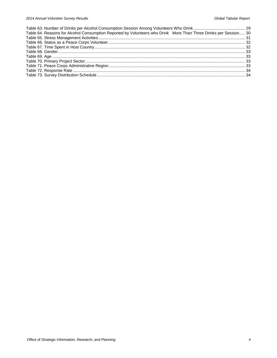| Table 64. Reasons for Alcohol Consumption Reported by Volunteers who Drink More Than Three Drinks per Session 30 |  |
|------------------------------------------------------------------------------------------------------------------|--|
|                                                                                                                  |  |
|                                                                                                                  |  |
|                                                                                                                  |  |
|                                                                                                                  |  |
|                                                                                                                  |  |
|                                                                                                                  |  |
|                                                                                                                  |  |
|                                                                                                                  |  |
|                                                                                                                  |  |
|                                                                                                                  |  |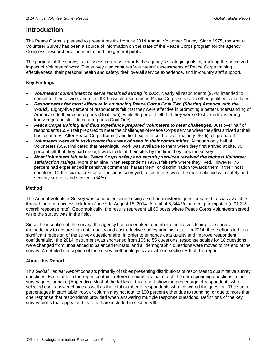## <span id="page-4-0"></span>**Introduction**

The Peace Corps is pleased to present results from its 2014 Annual Volunteer Survey. Since 1975, the Annual Volunteer Survey has been a source of information on the state of the Peace Corps program for the agency, Congress, researchers, the media, and the general public.

The purpose of the survey is to assess progress towards the agency's strategic goals by tracking the perceived impact of Volunteers' work. The survey also captures Volunteers' assessments of Peace Corps training effectiveness, their personal health and safety, their overall service experience, and in-country staff support.

## **Key Findings**

- *Volunteers' commitment to serve remained strong in 2014.* Nearly all respondents (97%) intended to complete their service, and most (90%) would recommend Peace Corps service to other qualified candidates.
- *Respondents felt most effective in advancing Peace Corps Goal Two (Sharing America with the World).* Eighty-five percent of respondents felt that they were effective in promoting a better understanding of Americans to their counterparts (Goal Two), while 65 percent felt that they were effective in transferring knowledge and skills to counterparts (Goal One).
- *Peace Corps training and field experience prepared Volunteers to meet challenges.* Just over half of respondents (55%) felt prepared to meet the challenges of Peace Corps service when they first arrived at their host countries. After Peace Corps training and field experience, the vast majority (90%) felt prepared.
- *Volunteers were able to discover the areas of need in their communities.* Although only half of Volunteers (55%) indicated that meaningful work was available to them when they first arrived at site, 70 percent felt that they had enough work to do at their sites by the time they took the survey.
- *Most Volunteers felt safe. Peace Corps safety and security services received the highest Volunteer satisfaction ratings.* More than nine in ten respondents (93%) felt safe where they lived. However, 76 percent had experienced insensitive comments, harassment, or discrimination towards them in their host countries. Of the six major support functions surveyed, respondents were the most satisfied with safety and security support and services (84%).

## **Method**

The Annual Volunteer Survey was conducted online using a self-administered questionnaire that was available through an open-access link from June 9 to August 15, 2014. A total of 5,344 Volunteers participated (a 91.3% overall response rate). Geographically, the results represent all 60 posts where Peace Corps Volunteers served while the survey was in the field.

Since the inception of the survey, the agency has undertaken a number of initiatives to improve survey methodology to ensure high data quality and cost-effective survey administration. In 2014, these efforts led to a significant redesign of the survey questionnaire. In order to enhance data quality and improve respondent confidentiality, the 2014 instrument was shortened from 105 to 55 questions, response scales for 18 questions were changed from unbalanced to balanced formats, and all demographic questions were moved to the end of the survey. A detailed description of the survey methodology is available in section VIII of this report.

## **About this Report**

This *Global Tabular Report* consists primarily of tables presenting distributions of responses to quantitative survey questions. Each table in the report contains reference numbers that match the corresponding questions in the survey questionnaire (Appendix). Most of the tables in this report show the percentage of respondents who selected each answer choice as well as the total number of respondents who answered the question. The sum of percentages in each table, row, or column may not total to 100 percent either due to rounding, or due to more than one response that respondents provided when answering multiple response questions. Definitions of the key survey terms that appear in this report are included in section VIII.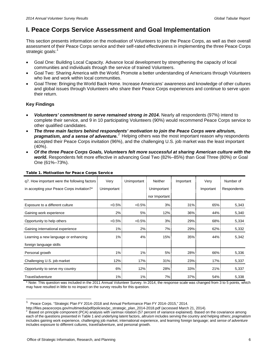## <span id="page-5-0"></span>**I. Peace Corps Service Assessment and Goal Implementation**

This section presents information on the motivation of Volunteers to join the Peace Corps, as well as their overall assessment of their Peace Corps service and their self-rated effectiveness in implementing the three Peace Corps strategic goals:<sup>[1](#page-5-2)</sup>

- Goal One: Building Local Capacity. Advance local development by strengthening the capacity of local communities and individuals through the service of trained Volunteers.
- Goal Two: Sharing America with the World. Promote a better understanding of Americans through Volunteers who live and work within local communities.
- Goal Three: Bringing the World Back Home. Increase Americans' awareness and knowledge of other cultures and global issues through Volunteers who share their Peace Corps experiences and continue to serve upon their return.

## **Key Findings**

- *Volunteers' commitment to serve remained strong in 2014.* Nearly all respondents (97%) intend to complete their service, and 9 in 10 participating Volunteers (90%) would recommend Peace Corps service to other qualified candidates.
- *The three main factors behind respondents' motivation to join the Peace Corps were altruism,*  **pragmatism, and a sense of adventure.**<sup>[2](#page-5-3)</sup> Helping others was the most important reason why respondents accepted their Peace Corps invitation (96%), and the challenging U.S. job market was the least important  $(40\%)$ .
- *Of the three Peace Corps Goals, Volunteers felt more successful at sharing American culture with the world.* Respondents felt more effective in advancing Goal Two (82%–85%) than Goal Three (80%) or Goal One (61%–73%).

| q7. How important were the following factors | Very        | Unimportant | <b>Neither</b> | Important | Very      | Number of   |
|----------------------------------------------|-------------|-------------|----------------|-----------|-----------|-------------|
| in accepting your Peace Corps invitation?*   | Unimportant |             | Unimportant    |           | Important | Respondents |
|                                              |             |             | nor Important  |           |           |             |
| Exposure to a different culture              | $< 0.5\%$   | $< 0.5\%$   | 3%             | 31%       | 65%       | 5,343       |
| Gaining work experience                      | $2\%$       | 5%          | 12%            | $36\%$    | 44%       | 5,340       |
| Opportunity to help others                   | $< 0.5\%$   | $< 0.5\%$   | 3%             | 29%       | 68%       | 5,334       |
| Gaining international experience             | $1\%$       | 2%          | 7%             | 29%       | 62%       | 5,332       |
| Learning a new language or enhancing         | $1\%$       | 4%          | 15%            | 35%       | 44%       | 5,342       |
| foreign language skills                      |             |             |                |           |           |             |
| Personal growth                              | $1\%$       | 1%          | 5%             | 28%       | 66%       | 5,336       |
| Challenging U.S. job market                  | 12%         | 17%         | 31%            | 23%       | 17%       | 5,337       |
| Opportunity to serve my country              | $6\%$       | 12%         | 28%            | 33%       | 21%       | 5,337       |
| Travel/adventure                             | $1\%$       | $1\%$       | 7%             | 37%       | 54%       | 5,338       |

## <span id="page-5-1"></span>Table 1. Motivation for Peace Corps Service

\* Note: This question was included in the 2011 Annual Volunteer Survey. In 2014, the response scale was changed from 3 to 5 points, which may have resulted in little to no impact on the survey results for this question.

<span id="page-5-2"></span> $\,1\,$  $1$  Peace Corps. "Strategic Plan FY 2014–2018 and Annual Performance Plan FY 2014–2015," 2014.<br>http://files.peacecorps.gov/multimedia/pdf/policies/pc strategic plan 2014-2018.pdf (accessed March 21, 2014).

<span id="page-5-3"></span>Based on principle component (PCA) analysis with varimax rotation (57 percent of variance explained). Based on the covariance among each of the questions presented in Table 1 and underlying latent factors, *altruism* includes serving the country and helping others; *pragmatism* includes gaining work experience, challenging job market, international experience, and learning foreign language; and *sense of adventure*  includes exposure to different cultures, travel/adventure, and personal growth.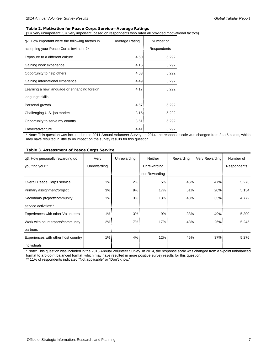## <span id="page-6-0"></span>Table 2. Motivation for Peace Corps Service—Average Ratings

(1 = very unimportant; 5 = very important, based on respondents who rated all provided motivational factors)

| g7. How important were the following factors in | Average Rating | Number of   |  |
|-------------------------------------------------|----------------|-------------|--|
| accepting your Peace Corps invitation?*         |                | Respondents |  |
| Exposure to a different culture                 | 4.60           | 5,292       |  |
| Gaining work experience                         | 4.16           | 5,292       |  |
| Opportunity to help others                      | 4.63           | 5,292       |  |
| Gaining international experience                | 4.49           | 5,292       |  |
| Learning a new language or enhancing foreign    | 4.17           | 5,292       |  |
| language skills                                 |                |             |  |
| Personal growth                                 | 4.57           | 5,292       |  |
| Challenging U.S. job market                     | 3.15           | 5,292       |  |
| Opportunity to serve my country                 | 3.51           | 5,292       |  |
| Travel/adventure                                | 4.41           | 5,292       |  |

\* Note: This question was included in the 2011 Annual Volunteer Survey. In 2014, the response scale was changed from 3 to 5 points, which may have resulted in little to no impact on the survey results for this question.

## <span id="page-6-1"></span>Table 3. Assessment of Peace Corps Service

| q3. How personally rewarding do     | Very        | Unrewarding | Neither       | Rewarding | Very Rewarding: | Number of   |
|-------------------------------------|-------------|-------------|---------------|-----------|-----------------|-------------|
| you find your:*                     | Unrewarding |             | Unrewarding   |           |                 | Respondents |
|                                     |             |             | nor Rewarding |           |                 |             |
| Overall Peace Corps service         | 1%          | 2%          | 5%            | 45%       | 47%             | 5,273       |
| Primary assignment/project          | 3%          | 9%          | 17%           | 51%       | 20%             | 5,154       |
| Secondary project/community         | $1\%$       | 3%          | 13%           | 48%       | 35%             | 4,772       |
| service activities**                |             |             |               |           |                 |             |
| Experiences with other Volunteers   | 1%          | 3%          | 9%            | 38%       | 49%             | 5,300       |
| Work with counterparts/community    | 2%          | 7%          | 17%           | 48%       | 26%             | 5,245       |
| partners                            |             |             |               |           |                 |             |
| Experiences with other host country | 1%          | 4%          | 12%           | 45%       | 37%             | 5,276       |
| individuals                         |             |             |               |           |                 |             |

\* Note: This question was included in the 2013 Annual Volunteer Survey. In 2014, the response scale was changed from a 5-point unbalanced format to a 5-point balanced format, which may have resulted in more positive survey results for this question.

\*\* 11% of respondents indicated "Not applicable" or "Don't know."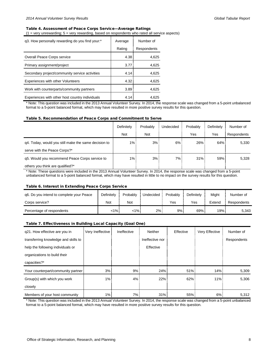## <span id="page-7-0"></span>Table 4. Assessment of Peace Corps Service—Average Ratings

 $(1 = \text{very unrewarding}; 5 = \text{very rewarding}, \text{based on respondents who rated all service aspects})$ 

| q3. How personally rewarding do you find your:* | Average | Number of   |
|-------------------------------------------------|---------|-------------|
|                                                 | Rating  | Respondents |
| Overall Peace Corps service                     | 4.38    | 4,625       |
| Primary assignment/project                      | 3.77    | 4,625       |
| Secondary project/community service activities  | 4.14    | 4,625       |
| Experiences with other Volunteers               | 4.32    | 4,625       |
| Work with counterparts/community partners       | 3.89    | 4,625       |
| Experiences with other host country individuals | 4.14    | 4.625       |

\* Note: This question was included in the 2013 Annual Volunteer Survey. In 2014, the response scale was changed from a 5-point unbalanced format to a 5-point balanced format, which may have resulted in more positive survey results for this question.

#### <span id="page-7-1"></span>Table 5. Recommendation of Peace Corps and Commitment to Serve

|                                                      | Definitely | Probably | Undecided | Probably | Definitely | Number of   |
|------------------------------------------------------|------------|----------|-----------|----------|------------|-------------|
|                                                      | Not        | Not      |           | Yes      | Yes        | Respondents |
| g4. Today, would you still make the same decision to | $1\%$      | 3%       | $6\%$     | 26%      | 64%        | 5,330       |
| serve with the Peace Corps?*                         |            |          |           |          |            |             |
| g5. Would you recommend Peace Corps service to       | $1\%$ :    | 3%       | 7% i      | 31%      | 59%        | 5,328       |
| others you think are qualified?*                     |            |          |           |          |            |             |

\* Note: These questions were included in the 2013 Annual Volunteer Survey. In 2014, the response scale was changed from a 5-point unbalanced format to a 5-point balanced format, which may have resulted in little to no impact on the survey results for this question.

#### <span id="page-7-2"></span>Table 6. Interest in Extending Peace Corps Service

| g6. Do you intend to complete your Peace | Definitely | Probably | Undecided | Probably | Definitelv | Miaht  | Number of   |
|------------------------------------------|------------|----------|-----------|----------|------------|--------|-------------|
| Corps service?                           | Not        | Not      |           | Yes      | Yes        | Extend | Respondents |
| Percentage of respondents                | ا 1%-      | <1% i    | 2%        | 9%       | 69%        | 19%    | 5.343       |

## <span id="page-7-3"></span>Table 7. Effectiveness in Building Local Capacity (Goal One)

| g21. How effective are you in        | Very Ineffective | Ineffective | <b>Neither</b>  | Effective | Very Effective | Number of   |
|--------------------------------------|------------------|-------------|-----------------|-----------|----------------|-------------|
| transferring knowledge and skills to |                  |             | Ineffective nor |           |                | Respondents |
| help the following individuals or    |                  |             | Effective       |           |                |             |
| organizations to build their         |                  |             |                 |           |                |             |
| capacities?*                         |                  |             |                 |           |                |             |
| Your counterpart/community partner   | 3%               | 9%          | 24%             | 51%       | 14%            | 5,309       |
| Group(s) with which you work         | $1\%$            | 4%          | 22%             | 62%       | 11%            | 5,306       |
| closely                              |                  |             |                 |           |                |             |
| Members of your host community       | 1%               | 7%          | 31%             | 55%       | 6%             | 5,312       |

\* Note: This question was included in the 2013 Annual Volunteer Survey. In 2014, the response scale was changed from a 5-point unbalanced format to a 5-point balanced format, which may have resulted in more positive survey results for this question.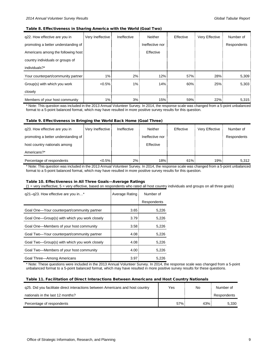#### <span id="page-8-0"></span>Table 8. Effectiveness in Sharing America with the World (Goal Two)

| q22. How effective are you in       | Very Ineffective | Ineffective | Neither         | Effective | Very Effective | Number of   |
|-------------------------------------|------------------|-------------|-----------------|-----------|----------------|-------------|
| promoting a better understanding of |                  |             | Ineffective nor |           |                | Respondents |
| Americans among the following host  |                  |             | Effective       |           |                |             |
| country individuals or groups of    |                  |             |                 |           |                |             |
| individuals?*                       |                  |             |                 |           |                |             |
| Your counterpart/community partner  | 1%               | $2\%$       | 12%             | 57%       | 28%            | 5,309       |
| Group(s) with which you work        | $< 0.5\%$        | $1\%$       | 14%             | 60%       | 25%            | 5,303       |
| closely                             |                  |             |                 |           |                |             |
| Members of your host community      | 1%               | 3%          | 15%             | 59%       | 22%            | 5,315       |

\* Note: This question was included in the 2013 Annual Volunteer Survey. In 2014, the response scale was changed from a 5-point unbalanced format to a 5-point balanced format, which may have resulted in more positive survey results for this question.

#### <span id="page-8-1"></span>Table 9. Effectiveness in Bringing the World Back Home (Goal Three)

| q23. How effective are you in       | Very Ineffective | Ineffective | Neither         | Effective | Very Effective | Number of   |
|-------------------------------------|------------------|-------------|-----------------|-----------|----------------|-------------|
| promoting a better understanding of |                  |             | Ineffective nor |           |                | Respondents |
| host country nationals among        |                  |             | Effective       |           |                |             |
| Americans?*                         |                  |             |                 |           |                |             |
| Percentage of respondents           | $< 0.5\%$        | 2%          | 18%             | 61%       | 19%            | 5.312       |

\* Note: This question was included in the 2013 Annual Volunteer Survey. In 2014, the response scale was changed from a 5-point unbalanced format to a 5-point balanced format, which may have resulted in more positive survey results for this question.

### <span id="page-8-2"></span>Table 10. Effectiveness in All Three Goals—Average Ratings

(1 = very ineffective; 5 = very effective, based on respondents who rated all host country individuals and groups on all three goals)

| q21-q23. How effective are you in*            | Average Rating | Number of   |  |
|-----------------------------------------------|----------------|-------------|--|
|                                               |                | Respondents |  |
| Goal One-Your counterpart/community partner   | 3.65           | 5,226       |  |
| Goal One—Group(s) with which you work closely | 3.79           | 5,226       |  |
| Goal One-Members of your host community       | 3.58           | 5,226       |  |
| Goal Two-Your counterpart/community partner   | 4.08           | 5,226       |  |
| Goal Two-Group(s) with which you work closely | 4.08           | 5,226       |  |
| Goal Two-Members of your host community       | 4.00           | 5,226       |  |
| Goal Three-Among Americans                    | 3.97           | 5.226       |  |

\* Note: These questions were included in the 2013 Annual Volunteer Survey. In 2014, the response scale was changed from a 5-point unbalanced format to a 5-point balanced format, which may have resulted in more positive survey results for these questions.

#### <span id="page-8-3"></span>Table 11. Facilitation of Direct Interactions Between Americans and Host Country Nationals

| q25. Did you facilitate direct interactions between Americans and host country | Yes | No   | Number of   |
|--------------------------------------------------------------------------------|-----|------|-------------|
| nationals in the last 12 months?                                               |     |      | Respondents |
| Percentage of respondents                                                      | 57% | 43%! | 5.330       |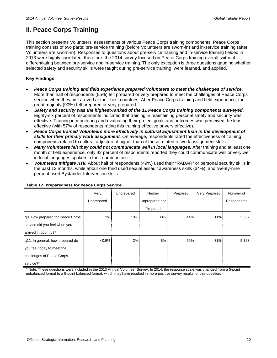## <span id="page-9-0"></span>**II. Peace Corps Training**

This section presents Volunteers' assessments of various Peace Corps training components. Peace Corps training consists of two parts: pre-service training (before Volunteers are sworn-in) and in-service training (after Volunteers are sworn-in). Responses to questions about pre-service training and in-service training fielded in 2013 were highly correlated; therefore, the 2014 survey focused on Peace Corps training overall, without differentiating between pre-service and in-service training. The only exception is three questions gauging whether selected safety and security skills were taught during pre-service training, were learned, and applied.

## **Key Findings**

- *Peace Corps training and field experience prepared Volunteers to meet the challenges of service.* More than half of respondents (55%) felt prepared or very prepared to meet the challenges of Peace Corps service when they first arrived at their host countries. After Peace Corps training and field experience, the great majority (90%) felt prepared or very prepared.
- *Safety and security was the highest-ranked of the 11 Peace Corps training components surveyed.* Eighty-six percent of respondents indicated that training in maintaining personal safety and security was effective. Training in monitoring and evaluating their project goals and outcomes was perceived the least effective (with 57% of respondents rating this training effective or very effective).
- *Peace Corps trained Volunteers more effectively in cultural adjustment than in the development of skills for their primary work assignment.* On average, respondents rated the effectiveness of training components related to cultural adjustment higher than of those related to work assignment skills.
- *Many Volunteers felt they could not communicate well in local languages.* After training and at least one month of field experience, only 42 percent of respondents reported they could communicate well or very well in local languages spoken in their communities.
- *Volunteers mitigate risk.* About half of respondents (49%) used their "RADAR" or personal security skills in the past 12 months, while about one third used sexual assault awareness skills (34%), and twenty-nine percent used Bystander Intervention skills.

|                                  | Very       | Unprepared | <b>Neither</b> | Prepared | Very Prepared | Number of   |
|----------------------------------|------------|------------|----------------|----------|---------------|-------------|
|                                  | Unprepared |            | Unprepared nor |          |               | Respondents |
|                                  |            |            | Prepared       |          |               |             |
| q8. How prepared for Peace Corps | 2%         | 13%        | 30%            | 44%      | 11%           | 5,337       |
| service did you feel when you    |            |            |                |          |               |             |
| arrived in country?*             |            |            |                |          |               |             |
| q11. In general, how prepared do | $< 0.5\%$  | 2%         | 8%             | 59%      | 31%           | 5,328       |
| you feel today to meet the       |            |            |                |          |               |             |
| challenges of Peace Corps        |            |            |                |          |               |             |
| service?*                        |            |            |                |          |               |             |

## <span id="page-9-1"></span>Table 12. Preparedness for Peace Corps Service

\* Note: These questions were included in the 2013 Annual Volunteer Survey. In 2014, the response scale was changed from a 5-point unbalanced format to a 5-point balanced format, which may have resulted in more positive survey results for this question.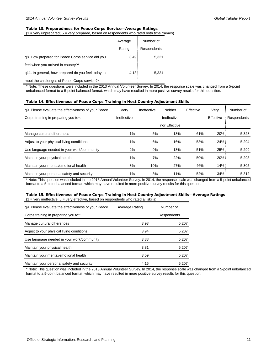## <span id="page-10-0"></span>Table 13. Preparedness for Peace Corps Service—Average Ratings

 $(1 = \text{very un prepared}; 5 = \text{very prepared}, \text{based on respondents who rated both time frames})$ 

|                                                    | Average | Number of   |
|----------------------------------------------------|---------|-------------|
|                                                    | Rating  | Respondents |
| g8. How prepared for Peace Corps service did you   | 3.49    | 5,321       |
| feel when you arrived in country?*                 |         |             |
| q11. In general, how prepared do you feel today to | 4.18    | 5,321       |
| meet the challenges of Peace Corps service?*       |         |             |

\* Note: These questions were included in the 2013 Annual Volunteer Survey. In 2014, the response scale was changed from a 5-point unbalanced format to a 5-point balanced format, which may have resulted in more positive survey results for this question.

#### <span id="page-10-1"></span>Table 14. Effectiveness of Peace Corps Training in Host Country Adjustment Skills

| g9. Please evaluate the effectiveness of your Peace | Very        | Ineffective | Neither       | Effective | Very      | Number of   |
|-----------------------------------------------------|-------------|-------------|---------------|-----------|-----------|-------------|
| Corps training in preparing you to*:                | Ineffective |             | Ineffective   |           | Effective | Respondents |
|                                                     |             |             | nor Effective |           |           |             |
| Manage cultural differences                         | $1\%$       | 5%          | 13%           | 61%       | 20%       | 5,328       |
| Adjust to your physical living conditions           | $1\%$       | 6%          | 16%           | 53%       | 24%       | 5.294       |
| Use language needed in your work/community          | 2%          | 9%          | 13%           | 51%       | 25%       | 5.299       |
| Maintain your physical health                       | $1\%$       | $7\%$       | $22\%$        | 50%       | 20%       | 5,293       |
| Maintain your mental/emotional health               | 3%          | $10\%$      | 27%           | 46%       | 14%       | 5,305       |
| Maintain your personal safety and security          | $1\%$ :     | 3%          | $11\%$        | 52%       | 34%       | 5,312       |

\* Note: This question was included in the 2013 Annual Volunteer Survey. In 2014, the response scale was changed from a 5-point unbalanced format to a 5-point balanced format, which may have resulted in more positive survey results for this question.

## <span id="page-10-2"></span>Table 15. Effectiveness of Peace Corps Training in Host Country Adjustment Skills—Average Ratings

|  |  |  |  |  |  |  | $(1 =$ very ineffective: $5 =$ very effective, based on respondents who rated all skills) |  |
|--|--|--|--|--|--|--|-------------------------------------------------------------------------------------------|--|
|--|--|--|--|--|--|--|-------------------------------------------------------------------------------------------|--|

| g9. Please evaluate the effectiveness of your Peace | Average Rating | Number of   |  |
|-----------------------------------------------------|----------------|-------------|--|
| Corps training in preparing you to:*                |                | Respondents |  |
| Manage cultural differences                         | 3.93           | 5,207       |  |
| Adjust to your physical living conditions           | 3.94           | 5,207       |  |
| Use language needed in your work/community          | 3.88           | 5,207       |  |
| Maintain your physical health                       | 3.81           | 5,207       |  |
| Maintain your mental/emotional health               | 3.59           | 5,207       |  |
| Maintain your personal safety and security          | 4.16           | 5.207       |  |

\* Note: This question was included in the 2013 Annual Volunteer Survey. In 2014, the response scale was changed from a 5-point unbalanced format to a 5-point balanced format, which may have resulted in more positive survey results for this question.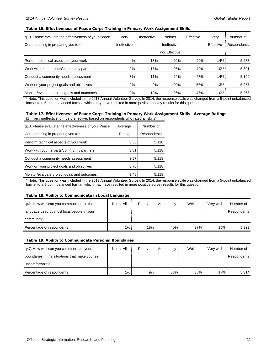#### <span id="page-11-0"></span>Table 16. Effectiveness of Peace Corps Training in Primary Work Assignment Skills

| g10. Please evaluate the effectiveness of your Peace | Very        | Ineffective | Neither       | Effective | Very      | Number of   |
|------------------------------------------------------|-------------|-------------|---------------|-----------|-----------|-------------|
| Corps training in preparing you to:*                 | Ineffective |             | Ineffective   |           | Effective | Respondents |
|                                                      |             |             | nor Effective |           |           |             |
| Perform technical aspects of your work               | 4%          | 13%         | $20\%$        | 49%       | 14%       | 5,287       |
| Work with counterparts/community partners            | 2%          | 13%         | $26\%$        | 49%       | 10%       | 5,301       |
| Conduct a community needs assessment                 | $3\%$       | $11\%$      | 24%           | 47%       | 14%       | 5,199       |
| Work on your project goals and objectives            | $2\%$       | 9%          | $20\%$        | 56%       | 13%       | 5,287       |
| Monitor/evaluate project goals and outcomes          | 3%          | 13%         | $26\%$        | 47%       | 10%       | 5,265       |

\* Note: This question was included in the 2013 Annual Volunteer Survey. In 2014, the response scale was changed from a 5-point unbalanced format to a 5-point balanced format, which may have resulted in more positive survey results for this question.

#### <span id="page-11-1"></span>Table 17. Effectiveness of Peace Corps Training in Primary Work Assignment Skills—Average Ratings  $(1 = \text{very ineffective}, 5 = \text{very effective}, \text{based on respondents who rated all skills})$

| q10. Please evaluate the effectiveness of your Peace | Average           | Number of   |
|------------------------------------------------------|-------------------|-------------|
| Corps training in preparing you to:*                 | Rating            | Respondents |
| Perform technical aspects of your work               | 3.55:             | 5,118       |
| Work with counterparts/community partners            | 3.51              | 5,118       |
| Conduct a community needs assessment                 | 3.57 <sup>1</sup> | 5,118       |
| Work on your project goals and objectives            | 3.70              | 5,118       |
| Monitor/evaluate project goals and outcomes          | 3.48              | 5,118       |

\* Note: This question was included in the 2013 Annual Volunteer Survey. In 2014, the response scale was changed from a 5-point unbalanced format to a 5-point balanced format, which may have resulted in more positive survey results for this question.

#### <span id="page-11-2"></span>Table 18. Ability to Communicate in Local Language

| q42. How well can you communicate in the   | Not at All | Poorly | Adequately | Well | Verv well | Number of   |
|--------------------------------------------|------------|--------|------------|------|-----------|-------------|
| language used by most local people in your |            |        |            |      |           | Respondents |
| community?                                 |            |        |            |      |           |             |
| Percentage of respondents                  | $1\%$      | 18%    | 40%        | 27%  | 15% !     | 5.329       |

### <span id="page-11-3"></span>Table 19. Ability to Communicate Personal Boundaries

| q47. How well can you communicate your personal | Not at All | Poorly | Adequately | Well | Verv well | Number of   |
|-------------------------------------------------|------------|--------|------------|------|-----------|-------------|
| boundaries in the situations that make you feel |            |        |            |      |           | Respondents |
| uncomfortable?                                  |            |        |            |      |           |             |
| Percentage of respondents                       | $1\%$ :    | 9%     | 38%        | 35%  | 17% i     | 5.314       |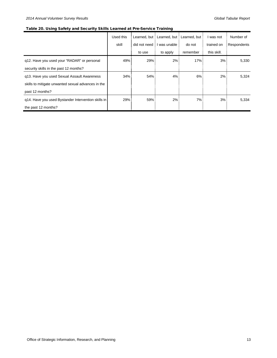## <span id="page-12-0"></span>Table 20. Using Safety and Security Skills Learned at Pre-Service Training

|                                                     | Used this |        | Learned, but : Learned, but : Learned, but : |          | I was not   | Number of   |
|-----------------------------------------------------|-----------|--------|----------------------------------------------|----------|-------------|-------------|
|                                                     | skill     |        | did not need : I was unable                  | do not   | trained on  | Respondents |
|                                                     |           | to use | to apply                                     | remember | this skill. |             |
| q12. Have you used your "RADAR" or personal         | 49%       | 29%    | 2%                                           | 17%      | 3%          | 5,330       |
| security skills in the past 12 months?              |           |        |                                              |          |             |             |
| q13. Have you used Sexual Assault Awareness         | $34\%$    | 54%    | 4%                                           | $6\%$    | $2\%$       | 5,324       |
| skills to mitigate unwanted sexual advances in the  |           |        |                                              |          |             |             |
| past 12 months?                                     |           |        |                                              |          |             |             |
| q14. Have you used Bystander Intervention skills in | 29%       | 59%    | 2%                                           | 7%       | 3%          | 5,334       |
| the past 12 months?                                 |           |        |                                              |          |             |             |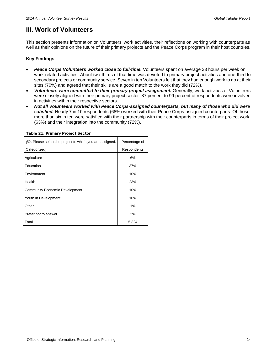## <span id="page-13-0"></span>**III. Work of Volunteers**

This section presents information on Volunteers' work activities, their reflections on working with counterparts as well as their opinions on the future of their primary projects and the Peace Corps program in their host countries.

## **Key Findings**

- *Peace Corps Volunteers worked close to full-time.* Volunteers spent on average 33 hours per week on work-related activities. About two-thirds of that time was devoted to primary project activities and one-third to secondary projects or community service. Seven in ten Volunteers felt that they had enough work to do at their sites (70%) and agreed that their skills are a good match to the work they did (72%).
- *Volunteers were committed to their primary project assignment.* Generally, work activities of Volunteers were closely aligned with their primary project sector: 87 percent to 99 percent of respondents were involved in activities within their respective sectors.
- *Not all Volunteers worked with Peace Corps-assigned counterparts, but many of those who did were*  satisfied. Nearly 7 in 10 respondents (68%) worked with their Peace Corps-assigned counterparts. Of those, more than six in ten were satisfied with their partnership with their counterparts in terms of their project work (63%) and their integration into the community (72%).

| q52. Please select the project to which you are assigned. | Percentage of |
|-----------------------------------------------------------|---------------|
| [Categorized]                                             | Respondents   |
| Agriculture                                               | 6%            |
| Education                                                 | 37%           |
| Environment                                               | 10%           |
| Health                                                    | 23%           |
| <b>Community Economic Development</b>                     | 10%           |
| Youth in Development                                      | 10%           |
| Other                                                     | 1%            |
| Prefer not to answer                                      | 2%            |
| Total                                                     | 5,324         |

#### <span id="page-13-1"></span>Table 21. Primary Project Sector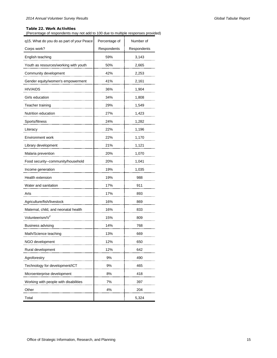## <span id="page-14-0"></span>Table 22. Work Activities

(Percentage of respondents may not add to 100 due to multiple responses provided)

| q15. What do you do as part of your Peace | Percentage of | Number of   |
|-------------------------------------------|---------------|-------------|
| Corps work?                               | Respondents   | Respondents |
| English teaching                          | 59%           | 3,143       |
| Youth as resources/working with youth     | 50%           | 2,665       |
| Community development                     | 42%           | 2,253       |
| Gender equity/women's empowerment         | 41%           | 2,161       |
| HIV/AIDS                                  | 36%           | 1,904       |
| Girls education                           | 34%           | 1,808       |
| Teacher training                          | 29%           | 1,549       |
| Nutrition education                       | 27%           | 1,423       |
| Sports/fitness                            | 24%           | 1,282       |
| Literacy                                  | 22%           | 1,196       |
| <b>Environment work</b>                   | 22%           | 1,170       |
| Library development                       | 21%           | 1,121       |
| Malaria prevention                        | 20%           | 1,070       |
| Food security--community/household        | 20%           | 1,041       |
| Income generation                         | 19%           | 1,035       |
| Health extension                          | 19%           | 988         |
| Water and sanitation                      | 17%           | 911         |
| Arts                                      | 17%           | 893         |
| Agriculture/fish/livestock                | 16%           | 869         |
| Maternal, child, and neonatal health      | 16%           | 833         |
| Volunteerism/V <sup>2</sup>               | 15%           | 809         |
| Business advising                         | 14%           | 768         |
| Math/Science teaching                     | 13%           | 669         |
| NGO development                           | 12%           | 650         |
| Rural development                         | 12%           | 642         |
| Agroforestry                              | 9%            | 490         |
| Technology for development/ICT            | 9%            | 465         |
| Microenterprise development               | 8%            | 418         |
| Working with people with disabilities     | 7%            | 397         |
| Other                                     | 4%            | 204         |
| Total                                     |               | 5,324       |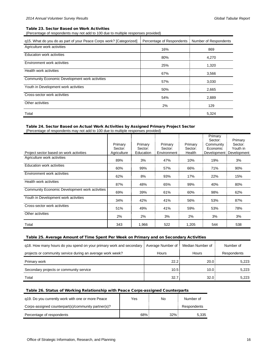#### <span id="page-15-0"></span>Table 23. Sector Based on Work Activities

(Percentage of respondents may not add to 100 due to multiple responses provided)

| q15. What do you do as part of your Peace Corps work? [Categorized] | Percentage of Respondents | Number of Respondents |
|---------------------------------------------------------------------|---------------------------|-----------------------|
| Agriculture work activities                                         | 16%                       | 869                   |
| Education work activities                                           | 80%                       | 4,270                 |
| Environment work activities                                         | 25%                       | 1,320                 |
| Health work activities                                              | 67%                       | 3,566                 |
| Community Economic Development work activities                      | 57%                       | 3,030                 |
| Youth in Development work activities                                | 50%                       | 2,665                 |
| Cross-sector work activities                                        | 54%                       | 2,889                 |
| Other activities                                                    | 2%                        | 129                   |
| Total                                                               |                           | 5,324                 |

## <span id="page-15-1"></span>Table 24. Sector Based on Actual Work Activities by Assigned Primary Project Sector

(Percentage of respondents may not add to 100 due to multiple responses provided)

| Project sector based on work activities        | Primary<br>Sector:<br>Agriculture | Primary<br>Sector:<br>Education | Primary<br>Sector:<br>Environment | Primary<br>Sector:<br>Health | Primary<br>Sector:<br>Community<br>Economic | Primary<br>Sector:<br>Youth in<br>Development : Development |
|------------------------------------------------|-----------------------------------|---------------------------------|-----------------------------------|------------------------------|---------------------------------------------|-------------------------------------------------------------|
| Agriculture work activities                    | 89%                               | 3%                              | 47%                               | 10%                          | 19%                                         | 3%                                                          |
| Education work activities                      | 60%                               | 99%                             | 57%                               | 66%                          | 71%                                         | 90%                                                         |
| Environment work activities                    | 62%                               | 8%                              | 93%                               | 17%                          | 22%                                         | 15%                                                         |
| Health work activities                         | 87%                               | 48%                             | 65%                               | 99%                          | 40%                                         | 80%                                                         |
| Community Economic Development work activities | 69%                               | 39%                             | 61%                               | 60%                          | 98%                                         | 62%                                                         |
| Youth in Development work activities           | 34%                               | 42%                             | 41%                               | 56%                          | 53%                                         | 87%                                                         |
| Cross-sector work activities                   | 51%                               | 49%                             | 41%                               | 59%                          | 53%                                         | 78%                                                         |
| Other activities                               | 2%                                | 2%                              | 3%                                | 2%                           | 3%                                          | 3%                                                          |
| Total                                          | 343                               | 1,966                           | 522                               | 1,205                        | 544                                         | 538                                                         |

## <span id="page-15-2"></span>Table 25. Average Amount of Time Spent Per Week on Primary and on Secondary Activities

| q18. How many hours do you spend on your primary work and secondary | Average Number of : | Median Number of | Number of          |
|---------------------------------------------------------------------|---------------------|------------------|--------------------|
| projects or community service during an average work week?          | Hours               | <b>Hours</b>     | <b>Respondents</b> |
| Primary work                                                        | 22.2                | 20.0             | 5,223              |
| Secondary projects or community service                             | 10.5                | 10.0             | 5,223              |
| Total                                                               | 32.7                | 32.0             | 5,223              |

## <span id="page-15-3"></span>Table 26. Status of Working Relationship with Peace Corps-assigned Counterparts

| q19. Do you currently work with one or more Peace   | Yes | No     | Number of          |
|-----------------------------------------------------|-----|--------|--------------------|
| Corps-assigned counterpart(s)/community partner(s)? |     |        | <b>Respondents</b> |
| Percentage of respondents                           | 68% | $32\%$ | 5.335              |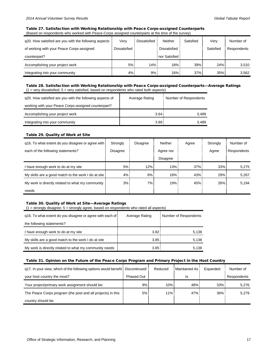## <span id="page-16-0"></span>Table 27. Satisfaction with Working Relationship with Peace Corps-assigned Counterparts (Based on respondents who worked with Peace-Corps assigned counterparts at the time of the survey)

| g20. How satisfied are you with the following aspects<br>of working with your Peace Corps-assigned | Very<br>Dissatisfied | Dissatisfied | Neither<br>Dissatisfied | Satisfied | Verv<br>Satisfied | Number of<br>Respondents |
|----------------------------------------------------------------------------------------------------|----------------------|--------------|-------------------------|-----------|-------------------|--------------------------|
| counterpart?                                                                                       |                      |              | nor Satisfied !         |           |                   |                          |
| Accomplishing your project work                                                                    | 5%                   | $14\%$       | 18%                     | $39\%$    | 24%               | 3,510                    |
| Integrating into your community                                                                    | 4%                   | 9%           | 16%                     | 37%       | 35%               | 3,562                    |

## <span id="page-16-1"></span>Table 28. Satisfaction with Working Relationship with Peace Corps-assigned Counterparts—Average Ratings  $(1 = \text{very dissatisfied}; 5 = \text{very satisfied}, \text{based on respondents who rated both aspects})$

| g20. How satisfied are you with the following aspects of | Average Rating    | Number of Respondents |
|----------------------------------------------------------|-------------------|-----------------------|
| working with your Peace Corps-assigned counterpart?      |                   |                       |
| Accomplishing your project work                          | 3.64              | 3.489                 |
| Integrating into your community                          | 3.89 <sup>°</sup> | 3.489                 |

### <span id="page-16-2"></span>Table 29. Quality of Work at Site

| q16. To what extent do you disagree or agree with   | Strongly | Disagree | <b>Neither</b> | Agree | Strongly | Number of   |
|-----------------------------------------------------|----------|----------|----------------|-------|----------|-------------|
| each of the following statements?                   | Disagree |          | Agree nor      |       | Agree    | Respondents |
|                                                     |          |          | Disagree       |       |          |             |
| have enough work to do at my site                   | 5%       | 12%      | 13%            | 37%   | $33\%$   | 5,275       |
| My skills are a good match to the work I do at site | $4\%$    | $8\%$    | 16%            | 43%   | 29%      | 5,267       |
| My work is directly related to what my community    | 3%       | $7\%$    | 19%            | 45%   | 26%      | 5,194       |
| needs                                               |          |          |                |       |          |             |

## <span id="page-16-3"></span>Table 30. Quality of Work at Site—Average Ratings

| $(1 =$ strongly disagree; $5 =$ strongly agree, based on respondents who rated all aspects) |
|---------------------------------------------------------------------------------------------|
|---------------------------------------------------------------------------------------------|

| g16. To what extent do you disagree or agree with each of | Average Rating | Number of Respondents |
|-----------------------------------------------------------|----------------|-----------------------|
| the following statements?                                 |                |                       |
| I have enough work to do at my site                       | 3.82:          | 5,138                 |
| My skills are a good match to the work I do at site       | 3.85           | 5,138                 |
| My work is directly related to what my community needs    | 3.85           | 5.138                 |

## <span id="page-16-4"></span>Table 31. Opinion on the Future of the Peace Corps Program and Primary Project in the Host Country

| q17. In your view, which of the following options would benefit   Discontinued |                   | Reduced | Maintained As: | Expanded | Number of   |
|--------------------------------------------------------------------------------|-------------------|---------|----------------|----------|-------------|
| your host country the most?                                                    | <b>Phased Out</b> |         | Is             |          | Respondents |
| Your project/primary work assignment should be:                                | 9%                | 10%     | 48%            | 33%      | 5,276       |
| The Peace Corps program (the post and all projects) in this                    | 5%                | $11\%$  | 47%            | 36%      | 5.279       |
| country should be:                                                             |                   |         |                |          |             |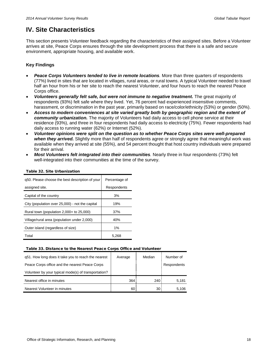## <span id="page-17-0"></span>**IV. Site Characteristics**

This section presents Volunteer feedback regarding the characteristics of their assigned sites. Before a Volunteer arrives at site, Peace Corps ensures through the site development process that there is a safe and secure environment, appropriate housing, and available work.

## **Key Findings**

- *Peace Corps Volunteers tended to live in remote locations.* More than three quarters of respondents (77%) lived in sites that are located in villages, rural areas, or rural towns. A typical Volunteer needed to travel half an hour from his or her site to reach the nearest Volunteer, and four hours to reach the nearest Peace Corps office.
- *Volunteers generally felt safe, but were not immune to negative treatment.* The great majority of respondents (93%) felt safe where they lived. Yet, 76 percent had experienced insensitive comments, harassment, or discrimination in the past year, primarily based on race/color/ethnicity (53%) or gender (50%).
- *Access to modern conveniences at site varied greatly both by geographic region and the extent of community urbanization.* The majority of Volunteers had daily access to cell phone service at their residence (93%), and three in four respondents had daily access to electricity (75%). Fewer respondents had daily access to running water (62%) or Internet (52%).
- *Volunteer opinions were split on the question as to whether Peace Corps sites were well-prepared when they arrived.* Slightly more than half of respondents agree or strongly agree that meaningful work was available when they arrived at site (55%), and 54 percent thought that host country individuals were prepared for their arrival.
- *Most Volunteers felt integrated into their communities.* Nearly three in four respondents (73%) felt well-integrated into their communities at the time of the survey.

| g50. Please choose the best description of your | Percentage of |
|-------------------------------------------------|---------------|
| assigned site.                                  | Respondents   |
| Capital of the country                          | 3%            |
| City (population over 25,000) - not the capital | 19%           |
| Rural town (population $2,000+$ to $25,000$ )   | 37%           |
| Village/rural area (population under 2,000)     | 40%           |
| Outer island (regardless of size)               | $1\%$         |
| Total                                           | 5.268         |

## <span id="page-17-1"></span>Table 32. Site Urbanization

## <span id="page-17-2"></span>Table 33. Distance to the Nearest Peace Corps Office and Volunteer

| q51. How long does it take you to reach the nearest  | Average | Median | Number of   |
|------------------------------------------------------|---------|--------|-------------|
| Peace Corps office and the nearest Peace Corps       |         |        | Respondents |
| Volunteer by your typical mode(s) of transportation? |         |        |             |
| Nearest office in minutes                            | 364     | 240    | 5,181       |
| Nearest Volunteer in minutes                         | 60      | 30 I   | 5.106       |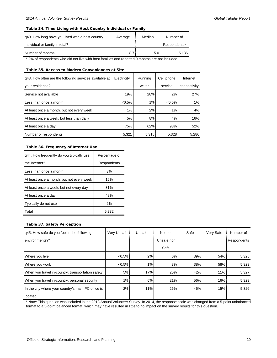### <span id="page-18-0"></span>Table 34. Time Living with Host Country Individual or Family

| g40. How long have you lived with a host country | Average | Median | Number of    |
|--------------------------------------------------|---------|--------|--------------|
| individual or family in total?                   |         |        | Respondents* |
| Number of months                                 | 8.7     | 5.0    | 5.136        |

\* 2% of respondents who did not live with host families and reported 0 months are not included.

### <span id="page-18-1"></span>Table 35. Access to Modern Conveniences at Site

| g43. How often are the following services available at | Electricity | Running | Cell phone | Internet     |
|--------------------------------------------------------|-------------|---------|------------|--------------|
| your residence?                                        |             | water   | service    | connectivity |
| Service not available                                  | 19%         | 28%     | 2%         | 27%          |
| Less than once a month                                 | $< 0.5\%$   | 1%      | $< 0.5\%$  | $1\%$        |
| At least once a month, but not every week              | $1\%$       | $2\%$   | 1%         | 4%           |
| At least once a week, but less than daily              | 5%          | 8%      | 4%         | 16%          |
| At least once a day                                    | 75%         | 62%     | 93%        | 52%          |
| Number of respondents                                  | 5,321       | 5,318   | 5,328      | 5.286        |

## <span id="page-18-2"></span>Table 36. Frequency of Internet Use

| q44. How frequently do you typically use  | Percentage of |
|-------------------------------------------|---------------|
| the Internet?                             | Respondents   |
| Less than once a month                    | 3%            |
| At least once a month, but not every week | 16%           |
| At least once a week, but not every day   | 31%           |
| At least once a day                       | 48%           |
| Typically do not use                      | 2%            |
| Total                                     | 5.332         |

#### <span id="page-18-3"></span>Table 37. Safety Perception

| q45. How safe do you feel in the following         | Very Unsafe | Unsafe | Neither    | Safe   | Very Safe | Number of   |
|----------------------------------------------------|-------------|--------|------------|--------|-----------|-------------|
| environments?*                                     |             |        | Unsafe nor |        |           | Respondents |
|                                                    |             |        | Safe       |        |           |             |
| Where you live                                     | $< 0.5\%$   | $2\%$  | 6%         | $39\%$ | 54%       | 5,325       |
| Where you work                                     | $< 0.5\%$   | $1\%$  | 3%         | 38%    | 58%       | 5,323       |
| When you travel in-country: transportation safety  | 5%          | 17%    | 25%        | 42%    | $11\%$    | 5,327       |
| When you travel in-country: personal security      | $1\%$       | 6%     | 21%        | 56%    | $16\%$    | 5,323       |
| In the city where your country's main PC office is | $2\%$       | $11\%$ | 26%        | 45%    | 15%       | 5,326       |
| located                                            |             |        |            |        |           |             |

\* Note: This question was included in the 2013 Annual Volunteer Survey. In 2014, the response scale was changed from a 5-point unbalanced format to a 5-point balanced format, which may have resulted in little to no impact on the survey results for this question.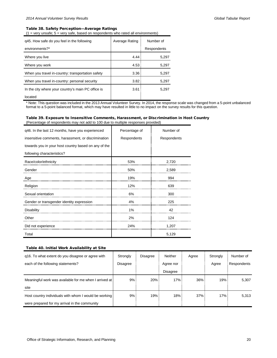## <span id="page-19-0"></span>Table 38. Safety Perception—Average Ratings

 $(1 = \text{very unsafe}; 5 = \text{very safe}, \text{based on respondents who rated all environments})$ 

| q45. How safe do you feel in the following         | Average Rating | Number of   |  |
|----------------------------------------------------|----------------|-------------|--|
| environments?*                                     |                | Respondents |  |
| Where you live                                     | 4.44           | 5,297       |  |
| Where you work                                     | 4.53           | 5,297       |  |
| When you travel in-country: transportation safety  | 3.36           | 5,297       |  |
| When you travel in-country: personal security      | 3.82           | 5,297       |  |
| In the city where your country's main PC office is | 3.61           | 5.297       |  |
| located                                            |                |             |  |

\* Note: This question was included in the 2013 Annual Volunteer Survey. In 2014, the response scale was changed from a 5-point unbalanced format to a 5-point balanced format, which may have resulted in little to no impact on the survey results for this question.

#### <span id="page-19-1"></span>Table 39. Exposure to Insensitive Comments, Harassment, or Discrimination in Host Country (Percentage of respondents may not add to 100 due to multiple responses provided)

| q46. In the last 12 months, have you experienced     | Percentage of | Number of   |
|------------------------------------------------------|---------------|-------------|
| insensitive comments, harassment, or discrimination  | Respondents   | Respondents |
| towards you in your host country based on any of the |               |             |
| following characteristics?                           |               |             |
| Race/color/ethnicity                                 | 53%           | 2,720       |
| Gender                                               | 50%           | 2,589       |
| Age                                                  | 19%           | 994         |
| Religion                                             | 12%           | 639         |
| Sexual orientation                                   | 6%            | 300         |
| Gender or transgender identity expression            | 4%            | 225         |
| <b>Disability</b>                                    | 1%            | 42          |
| Other                                                | 2%            | 124         |
| Did not experience                                   | 24%           | 1,207       |
| Total                                                |               | 5,129       |

### <span id="page-19-2"></span>Table 40. Initial Work Availability at Site

| q16. To what extent do you disagree or agree with      | Strongly | <b>Disagree</b> | Neither         | Agree | Strongly | Number of          |
|--------------------------------------------------------|----------|-----------------|-----------------|-------|----------|--------------------|
| each of the following statements?                      | Disagree |                 | Agree nor       |       | Agree    | <b>Respondents</b> |
|                                                        |          |                 | <b>Disagree</b> |       |          |                    |
| Meaningful work was available for me when I arrived at | 9%       | 20%             | 17%             | 36%   | 19%      | 5,307              |
| site                                                   |          |                 |                 |       |          |                    |
| Host country individuals with whom I would be working  | 9%       | 19%             | 18%             | 37%   | 17%      | 5,313              |
| were prepared for my arrival in the community          |          |                 |                 |       |          |                    |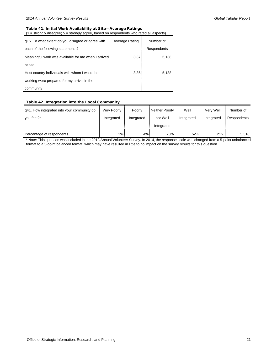## <span id="page-20-0"></span>Table 41. Initial Work Availability at Site—Average Ratings

(1 = strongly disagree; 5 = strongly agree, based on respondents who rated all aspects)

| q16. To what extent do you disagree or agree with   | Average Rating    | Number of   |  |
|-----------------------------------------------------|-------------------|-------------|--|
| each of the following statements?                   |                   | Respondents |  |
| Meaningful work was available for me when I arrived | 3.37              | 5,138       |  |
| at site                                             |                   |             |  |
| Host country individuals with whom I would be       | 3.36 <sup>1</sup> | 5,138       |  |
| working were prepared for my arrival in the         |                   |             |  |
| community                                           |                   |             |  |

## <span id="page-20-1"></span>Table 42. Integration into the Local Community

| q41. How integrated into your community do | Very Poorly | Poorly     | Neither Poorly: | Well       | Verv Well  | Number of   |
|--------------------------------------------|-------------|------------|-----------------|------------|------------|-------------|
| you feel?*                                 | Integrated  | Integrated | nor Well        | Integrated | Integrated | Respondents |
|                                            |             |            | Integrated      |            |            |             |
| Percentage of respondents                  | $1\%$       | $4\%$      | 23%             | $52\%$     | $21\%$     | 5,318       |

\* Note: This question was included in the 2013 Annual Volunteer Survey. In 2014, the response scale was changed from a 5-point unbalanced format to a 5-point balanced format, which may have resulted in little to no impact on the survey results for this question.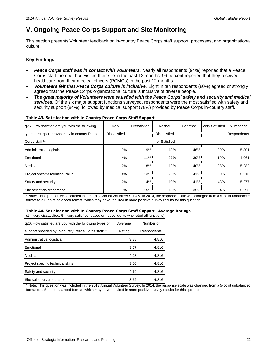## <span id="page-21-0"></span>**V. Ongoing Peace Corps Support and Site Monitoring**

This section presents Volunteer feedback on in-country Peace Corps staff support, processes, and organizational culture.

## **Key Findings**

- *Peace Corps staff was in contact with Volunteers.* Nearly all respondents (94%) reported that a Peace Corps staff member had visited their site in the past 12 months; 96 percent reported that they received healthcare from their medical officers (PCMOs) in the past 12 months.
- *Volunteers felt that Peace Corps culture is inclusive.* Eight in ten respondents (80%) agreed or strongly agreed that the Peace Corps organizational culture is inclusive of diverse people.
- *The great majority of Volunteers were satisfied with the Peace Corps' safety and security and medical services.* Of the six major support functions surveyed, respondents were the most satisfied with safety and security support (84%), followed by medical support (78%) provided by Peace Corps in-country staff.

| g26. How satisfied are you with the following | Very         | <b>Dissatisfied</b> | Neither       | Satisfied | Very Satisfied: | Number of   |
|-----------------------------------------------|--------------|---------------------|---------------|-----------|-----------------|-------------|
| types of support provided by in-country Peace | Dissatisfied |                     | Dissatisfied  |           |                 | Respondents |
| Corps staff?*                                 |              |                     | nor Satisfied |           |                 |             |
| Administrative/logistical                     | 3%           | 9%                  | 13%           | $46\%$    | 29%             | 5,301       |
| Emotional                                     | 4%           | 11%                 | 27%           | $39\%$    | 19%             | 4,961       |
| Medical                                       | 2%           | 8%                  | 12%           | $40\%$    | $38\%$          | 5,282       |
| Project specific technical skills             | 4%           | 13%                 | 22%           | 41%       | 20%             | 5,215       |
| Safety and security                           | 2%           | $4\%$               | 10%           | 41%       | 43%             | 5,277       |
| Site selection/preparation                    | 8%           | 15%                 | 18%           | 35%       | 24%             | 5,295       |

## <span id="page-21-1"></span>Table 43. Satisfaction with In-Country Peace Corps Staff Support

\* Note: This question was included in the 2013 Annual Volunteer Survey. In 2014, the response scale was changed from a 5-point unbalanced format to a 5-point balanced format, which may have resulted in more positive survey results for this question.

#### <span id="page-21-2"></span>Table 44. Satisfaction with In-Country Peace Corps Staff Support—Average Ratings  $(1 = \text{very dissatisfied}; 5 = \text{very satisfied}, \text{based on respondents who rated all functions})$

| q26. How satisfied are you with the following types of | Average | Number of   |
|--------------------------------------------------------|---------|-------------|
| support provided by in-country Peace Corps staff?*     | Rating  | Respondents |
| Administrative/logistical                              | 3.88    | 4,816       |
| Emotional                                              | 3.57    | 4,816       |
| Medical                                                | 4.03    | 4,816       |
| Project specific technical skills                      | 3.60    | 4,816       |
| Safety and security                                    | 4.19    | 4,816       |
| Site selection/preparation                             | 3.52    | 4.816       |

\* Note: This question was included in the 2013 Annual Volunteer Survey. In 2014, the response scale was changed from a 5-point unbalanced format to a 5-point balanced format, which may have resulted in more positive survey results for this question.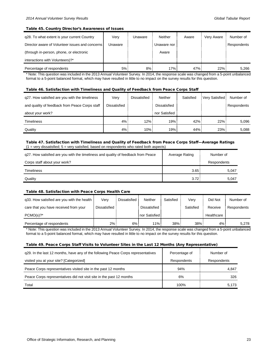#### <span id="page-22-0"></span>Table 45. Country Director's Awareness of Issues

| q28. To what extent is your current Country     | Very    | Unaware | Neither     | Aware | Very Aware | Number of   |
|-------------------------------------------------|---------|---------|-------------|-------|------------|-------------|
| Director aware of Volunteer issues and concerns | Unaware |         | Unaware nor |       |            | Respondents |
| (through in-person, phone, or electronic        |         |         | Aware       |       |            |             |
| interactions with Volunteers)?*                 |         |         |             |       |            |             |
| Percentage of respondents                       | 5%      | 8%      | 17%         | 47%   | $22\%$     | 5,266       |

\* Note: This question was included in the 2013 Annual Volunteer Survey. In 2014, the response scale was changed from a 5-point unbalanced format to a 5-point balanced format, which may have resulted in little to no impact on the survey results for this question.

#### <span id="page-22-1"></span>Table 46. Satisfaction with Timeliness and Quality of Feedback from Peace Corps Staff

| q27. How satisfied are you with the timeliness | Very         | Dissatisfied | <b>Neither</b> | Satisfied | Very Satisfied i | Number of   |
|------------------------------------------------|--------------|--------------|----------------|-----------|------------------|-------------|
| and quality of feedback from Peace Corps staff | Dissatisfied |              | Dissatisfied   |           |                  | Respondents |
| about your work?                               |              |              | nor Satisfied  |           |                  |             |
| <b>Timeliness</b>                              | 4%           | 12%          | 19%            | 42%       | 22%              | 5.096       |
| Quality                                        | 4%           | 10%          | 19%            | 44%       | 23%              | 5.088       |

### <span id="page-22-2"></span>Table 47. Satisfaction with Timeliness and Quality of Feedback from Peace Corps Staff—Average Ratings  $(1 = \text{very dissatisfied}; 5 = \text{very satisfied}, \text{based on respondents who rated both aspects})$

| g27. How satisfied are you with the timeliness and quality of feedback from Peace | Average Rating    | Number of   |
|-----------------------------------------------------------------------------------|-------------------|-------------|
| Corps staff about your work?                                                      |                   | Respondents |
| Timeliness                                                                        | 3.65              | 5,047       |
| Quality                                                                           | 3.72 <sup>1</sup> | 5.047       |

#### <span id="page-22-3"></span>Table 48. Satisfaction with Peace Corps Health Care

| q33. How satisfied are you with the health | Verv         | Dissatisfied | Neither        | Satisfied | Verv      | Did Not    | Number of   |
|--------------------------------------------|--------------|--------------|----------------|-----------|-----------|------------|-------------|
| care that you have received from your      | Dissatisfied |              | Dissatisfied   |           | Satisfied | Receive    | Respondents |
| $PCMO(s)?^*$                               |              |              | nor Satisfied! |           |           | Healthcare |             |
| Percentage of respondents                  | $2\%$        | $6\%$        | 11% i          | 38%       | 38%       | 4% !       | 5.278       |

\* Note: This question was included in the 2013 Annual Volunteer Survey. In 2014, the response scale was changed from a 5-point unbalanced format to a 5-point balanced format, which may have resulted in little to no impact on the survey results for this question.

### <span id="page-22-4"></span>Table 49. Peace Corps Staff Visits to Volunteer Sites in the Last 12 Months (Any Representative)

| q29. In the last 12 months, have any of the following Peace Corps representatives | Percentage of | Number of   |
|-----------------------------------------------------------------------------------|---------------|-------------|
| visited you at your site? [Categorized]                                           | Respondents   | Respondents |
| Peace Corps representatives visited site in the past 12 months                    | 94%           | 4,847       |
| Peace Corps representatives did not visit site in the past 12 months              | 6%            | 326         |
| Total                                                                             | 100%          | 5,173       |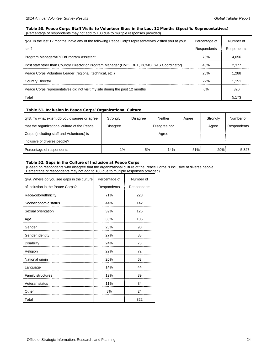### <span id="page-23-0"></span>Table 50. Peace Corps Staff Visits to Volunteer Sites in the Last 12 Months (Specific Representatives) (Percentage of respondents may not add to 100 due to multiple responses provided)

| g29. In the last 12 months, have any of the following Peace Corps representatives visited you at your | Percentage of | Number of   |
|-------------------------------------------------------------------------------------------------------|---------------|-------------|
| site?                                                                                                 | Respondents   | Respondents |
| Program Manager/APCD/Program Assistant                                                                | 78%           | 4.056       |
| Post staff other than Country Director or Program Manager (DMO, DPT, PCMO, S&S Coordinator)           | 46%           | 2.377       |
| Peace Corps Volunteer Leader (regional, technical, etc.)                                              | 25%           | 1.288       |
| <b>Country Director</b>                                                                               | 22%           | 1.151       |
| Peace Corps representatives did not visit my site during the past 12 months                           | 6%            | 326         |
| Total                                                                                                 |               | 5.173       |

## <span id="page-23-1"></span>Table 51. Inclusion in Peace Corps' Organizational Culture

| q48. To what extent do you disagree or agree | Strongly | Disagree | Neither      | Agree | Strongly | Number of   |
|----------------------------------------------|----------|----------|--------------|-------|----------|-------------|
| that the organizational culture of the Peace | Disagree |          | Disagree nor |       | Agree    | Respondents |
| Corps (including staff and Volunteers) is    |          |          | Agree        |       |          |             |
| inclusive of diverse people?                 |          |          |              |       |          |             |
| Percentage of respondents                    | $1\%$ :  | 5%       | $14%$ :      | 51%   | 29%      | 5,327       |

#### <span id="page-23-2"></span>Table 52. Gaps in the Culture of Inclusion at Peace Corps

(Based on respondents who disagree that the organizational culture of the Peace Corps is inclusive of diverse people. Percentage of respondents may not add to 100 due to multiple responses provided)

| q49. Where do you see gaps in the culture | Percentage of | Number of   |
|-------------------------------------------|---------------|-------------|
| of inclusion in the Peace Corps?          | Respondents   | Respondents |
| Race/color/ethnicity                      | 71%           | 228         |
| Socioeconomic status                      | 44%           | 142         |
| Sexual orientation                        | 39%           | 125         |
| Age                                       | 33%           | 105         |
| Gender                                    | 28%           | 90          |
| Gender identity                           | 27%           | 88          |
| Disability                                | 24%           | 78          |
| Religion                                  | 22%           | 72          |
| National origin                           | 20%           | 63          |
| Language                                  | 14%           | 44          |
| Family structures                         | 12%           | 39          |
| Veteran status                            | 11%           | 34          |
| Other                                     | 8%            | 24          |
| Total                                     |               | 322         |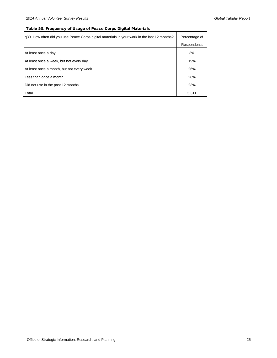## <span id="page-24-0"></span>Table 53. Frequency of Usage of Peace Corps Digital Materials

| g30. How often did you use Peace Corps digital materials in your work in the last 12 months? | Percentage of |
|----------------------------------------------------------------------------------------------|---------------|
|                                                                                              | Respondents   |
| At least once a day                                                                          | 3%            |
| At least once a week, but not every day                                                      | 19%           |
| At least once a month, but not every week                                                    | 26%           |
| Less than once a month                                                                       | 28%           |
| Did not use in the past 12 months                                                            | 23%           |
| Total                                                                                        | 5,311         |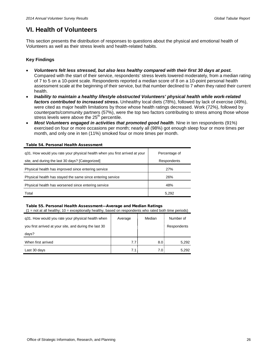## <span id="page-25-0"></span>**VI. Health of Volunteers**

This section presents the distribution of responses to questions about the physical and emotional health of Volunteers as well as their stress levels and health-related habits.

## **Key Findings**

- *Volunteers felt less stressed, but also less healthy compared with their first 30 days at post.* Compared with the start of their service, respondents' stress levels lowered moderately, from a median rating of 7 to 5 on a 10-point scale. Respondents reported a median score of 8 on a 10-point personal health assessment scale at the beginning of their service, but that number declined to 7 when they rated their current health.
- *Inability to maintain a healthy lifestyle obstructed Volunteers' physical health while work-related factors contributed to increased stress.* Unhealthy local diets (78%), followed by lack of exercise (49%), were cited as major health limitations by those whose health ratings decreased. Work (72%), followed by counterparts/community partners (57%), were the top two factors contributing to stress among those whose stress levels were above the  $25<sup>th</sup>$  percentile.
- *Most Volunteers engaged in activities that promoted good health.* Nine in ten respondents (91%) exercised on four or more occasions per month; nearly all (98%) got enough sleep four or more times per month, and only one in ten (11%) smoked four or more times per month.

| g31. How would you rate your physical health when you first arrived at your | Percentage of |
|-----------------------------------------------------------------------------|---------------|
| site, and during the last 30 days? [Categorized]                            | Respondents   |
| Physical health has improved since entering service                         | 27%           |
| Physical health has stayed the same since entering service                  | 26%           |
| Physical health has worsened since entering service                         | 48%           |
| Total                                                                       | 5,292         |

#### <span id="page-25-1"></span>Table 54. Personal Health Assessment

#### <span id="page-25-2"></span>Table 55. Personal Health Assessment—Average and Median Ratings

 $(1 = not at all healthy; 10 = exceptionally healthy, based on respondents who rated both time periods)$ 

| q31. How would you rate your physical health when      | Average | Median           | Number of   |
|--------------------------------------------------------|---------|------------------|-------------|
| you first arrived at your site, and during the last 30 |         |                  | Respondents |
| days?                                                  |         |                  |             |
| When first arrived                                     | 7.7:    | 8.0 <sup>1</sup> | 5,292       |
| Last 30 days                                           | 7.1:    | 7.0 <sup>1</sup> | 5.292       |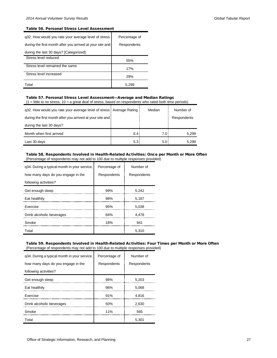#### <span id="page-26-0"></span>Table 56. Personal Stress Level Assessment

| g32. How would you rate your average level of stress      | Percentage of |
|-----------------------------------------------------------|---------------|
| during the first month after you arrived at your site and | Respondents   |
| during the last 30 days? [Categorized]                    |               |
| Stress level reduced                                      | 55%           |
| Stress level remained the same                            | 17%           |
| Stress level increased                                    | 29%           |
| Total                                                     | 5.299         |

## <span id="page-26-1"></span>Table 57. Personal Stress Level Assessment—Average and Median Ratings

 $(1 =$  little to no stress; 10 = a great deal of stress, based on respondents who rated both time periods)

| q32. How would you rate your average level of stress   Average Rating |                  | Median | Number of   |
|-----------------------------------------------------------------------|------------------|--------|-------------|
| during the first month after you arrived at your site and             |                  |        | Respondents |
| during the last 30 days?                                              |                  |        |             |
| Month when first arrived                                              | 6.4:             | 7.0    | 5,299       |
| Last 30 days                                                          | 5.3 <sub>1</sub> | 5.0    | 5,299       |

#### <span id="page-26-2"></span>Table 58. Respondents Involved in Health-Related Activities: Once per Month or More Often (Percentage of respondents may not add to 100 due to multiple responses provided)

| q34. During a typical month in your service, | Percentage of | Number of   |
|----------------------------------------------|---------------|-------------|
| how many days do you engage in the           | Respondents   | Respondents |
| following activities?                        |               |             |
| Get enough sleep                             | 99%           | 5,242       |
| Eat healthily                                | 98%           | 5,187       |
| Exercise                                     | 95%           | 5,038       |
| Drink alcoholic beverages                    | 84%           | 4,478       |
| Smoke                                        | 18%           | 941         |
| Total                                        |               | 5,310       |

#### <span id="page-26-3"></span>Table 59. Respondents Involved in Health-Related Activities: Four Times per Month or More Often (Percentage of respondents may not add to 100 due to multiple responses provided)

| q34. During a typical month in your service, | Percentage of | Number of   |
|----------------------------------------------|---------------|-------------|
| how many days do you engage in the           | Respondents   | Respondents |
| following activities?                        |               |             |
| Get enough sleep                             | 98%           | 5,203       |
| Eat healthily                                | 96%           | 5,068       |
| Exercise                                     | 91%           | 4,816       |
| Drink alcoholic beverages                    | 50%           | 2,630       |
| Smoke                                        | 11%           | 565         |
| Total                                        |               | 5,301       |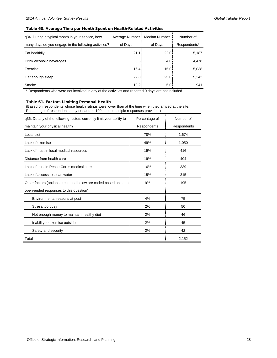### <span id="page-27-0"></span>Table 60. Average Time per Month Spent on Health-Related Activities

| g34. During a typical month in your service, how     | Average Number    | Median Number | Number of    |
|------------------------------------------------------|-------------------|---------------|--------------|
| many days do you engage in the following activities? | of Days           | of Days       | Respondents* |
| Eat healthily                                        | 21.1              | 22.0          | 5,187        |
| Drink alcoholic beverages                            | 5.6 <sup>1</sup>  | 4.0           | 4,478        |
| Exercise                                             | 16.4              | 15.0          | 5,038        |
| Get enough sleep                                     | 22.8              | 25.0          | 5,242        |
| Smoke                                                | 10.2 <sub>1</sub> | 5.0           | 941          |

\* Respondents who were not involved in any of the activities and reported 0 days are not included.

## <span id="page-27-1"></span>Table 61. Factors Limiting Personal Health

(Based on respondents whose health ratings were lower than at the time when they arrived at the site. Percentage of respondents may not add to 100 due to multiple responses provided.)

| q36. Do any of the following factors currently limit your ability to | Percentage of | Number of   |
|----------------------------------------------------------------------|---------------|-------------|
| maintain your physical health?                                       | Respondents   | Respondents |
| Local diet                                                           | 78%           | 1,674       |
| Lack of exercise                                                     | 49%           | 1,050       |
| Lack of trust in local medical resources                             | 19%           | 416         |
| Distance from health care                                            | 19%           | 404         |
| Lack of trust in Peace Corps medical care                            | 16%           | 339         |
| Lack of access to clean water                                        | 15%           | 315         |
| Other factors (options presented below are coded based on short)     | 9%            | 195         |
| open-ended responses to this question)                               |               |             |
| Environmental reasons at post                                        | 4%            | 75          |
| Stress/too busy                                                      | 2%            | 50          |
| Not enough money to maintain healthy diet                            | 2%            | 46          |
| Inability to exercise outside                                        | 2%            | 45          |
| Safety and security                                                  | 2%            | 42          |
| Total                                                                |               | 2,152       |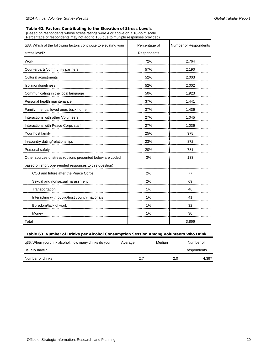### <span id="page-28-0"></span>Table 62. Factors Contributing to the Elevation of Stress Levels

(Based on respondents whose stress ratings were 4 or above on a 10-point scale. Percentage of respondents may not add to 100 due to multiple responses provided)

| q38. Which of the following factors contribute to elevating your | Percentage of | Number of Respondents |
|------------------------------------------------------------------|---------------|-----------------------|
| stress level?                                                    | Respondents   |                       |
| Work                                                             | 72%           | 2,764                 |
| Counterparts/community partners                                  | 57%           | 2,190                 |
| Cultural adjustments                                             | 52%           | 2,003                 |
| Isolation/loneliness                                             | 52%           | 2,002                 |
| Communicating in the local language                              | 50%           | 1,923                 |
| Personal health maintenance                                      | 37%           | 1,441                 |
| Family, friends, loved ones back home                            | 37%           | 1,436                 |
| Interactions with other Volunteers                               | 27%           | 1,045                 |
| Interactions with Peace Corps staff                              | 27%           | 1,036                 |
| Your host family                                                 | 25%           | 978                   |
| In-country dating/relationships                                  | 23%           | 872                   |
| Personal safety                                                  | 20%           | 781                   |
| Other sources of stress (options presented below are coded       | 3%            | 133                   |
| based on short open-ended responses to this question)            |               |                       |
| COS and future after the Peace Corps                             | 2%            | 77                    |
| Sexual and nonsexual harassment                                  | 2%            | 69                    |
| Transportation                                                   | 1%            | 46                    |
| Interacting with public/host country nationals                   | 1%            | 41                    |
| Boredom/lack of work                                             | 1%            | 32                    |
| Money                                                            | 1%            | 30                    |
| Total                                                            |               | 3,866                 |

### <span id="page-28-1"></span>Table 63. Number of Drinks per Alcohol Consumption Session Among Volunteers Who Drink

| g35. When you drink alcohol, how many drinks do you | Average | Median | Number of   |
|-----------------------------------------------------|---------|--------|-------------|
| usually have?                                       |         |        | Respondents |
| Number of drinks                                    | 2.7:    | 2.0    | 4.397       |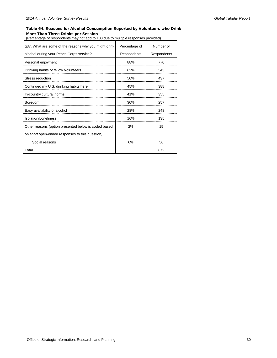## <span id="page-29-0"></span>Table 64. Reasons for Alcohol Consumption Reported by Volunteers who Drink More Than Three Drinks per Session

(Percentage of respondents may not add to 100 due to multiple responses provided)

| q37. What are some of the reasons why you might drink | Percentage of | Number of   |
|-------------------------------------------------------|---------------|-------------|
| alcohol during your Peace Corps service?              | Respondents   | Respondents |
| Personal enjoyment                                    | 88%           | 770         |
| Drinking habits of fellow Volunteers                  | 62%           | 543         |
| Stress reduction                                      | 50%           | 437         |
| Continued my U.S. drinking habits here                | 45%           | 388         |
| In-country cultural norms                             | 41%           | 355         |
| <b>Boredom</b>                                        | 30%           | 257         |
| Easy availability of alcohol                          | 28%           | 248         |
| Isolation/Loneliness                                  | 16%           | 135         |
| Other reasons (option presented below is coded based  | 2%            | 15          |
| on short open-ended responses to this question)       |               |             |
| Social reasons                                        | 6%            | 56          |
| Total                                                 |               | 872         |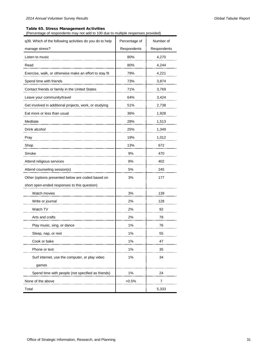## <span id="page-30-0"></span>Table 65. Stress Management Activities

(Percentage of respondents may not add to 100 due to multiple responses provided)

| q39. Which of the following activities do you do to help | Percentage of | Number of   |
|----------------------------------------------------------|---------------|-------------|
| manage stress?                                           | Respondents   | Respondents |
| Listen to music                                          | 80%           | 4,270       |
| Read                                                     | 80%           | 4,244       |
| Exercise, walk, or otherwise make an effort to stay fit  | 79%           | 4,221       |
| Spend time with friends                                  | 73%           | 3,874       |
| Contact friends or family in the United States           | 71%           | 3,769       |
| Leave your community/travel                              | 64%           | 3,424       |
| Get involved in additional projects, work, or studying   | 51%           | 2,738       |
| Eat more or less than usual                              | 36%           | 1,928       |
| Meditate                                                 | 28%           | 1,513       |
| Drink alcohol                                            | 25%           | 1,349       |
| Pray                                                     | 19%           | 1,012       |
| Shop                                                     | 13%           | 672         |
| Smoke                                                    | 9%            | 470         |
| Attend religious services                                | 8%            | 402         |
| Attend counseling session(s)                             | 5%            | 245         |
| Other (options presented below are coded based on        | 3%            | 177         |
| short open-ended responses to this question)             |               |             |
| Watch movies                                             | 3%            | 139         |
| Write or journal                                         | 2%            | 128         |
| Watch TV                                                 | 2%            | 92          |
| Arts and crafts                                          | 2%            | 78          |
| Play music, sing, or dance                               | 1%            | 76          |
| Sleep, nap, or rest                                      | 1%            | 55          |
| Cook or bake                                             | 1%            | 47          |
| Phone or text                                            | $1\%$         | 35          |
| Surf internet, use the computer, or play video           | $1\%$         | 34          |
| games                                                    |               |             |
| Spend time with people (not specified as friends)        | 1%            | 24          |
| None of the above                                        | $<0.5\%$      | 7           |
| Total                                                    |               | 5,333       |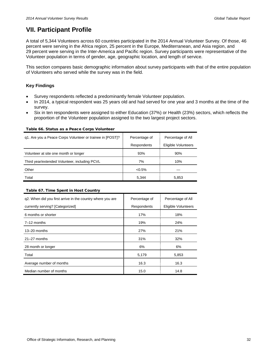## <span id="page-31-0"></span>**VII. Participant Profile**

A total of 5,344 Volunteers across 60 countries participated in the 2014 Annual Volunteer Survey. Of those, 46 percent were serving in the Africa region, 25 percent in the Europe, Mediterranean, and Asia region, and 29 percent were serving in the Inter-America and Pacific region. Survey participants were representative of the Volunteer population in terms of gender, age, geographic location, and length of service.

This section compares basic demographic information about survey participants with that of the entire population of Volunteers who served while the survey was in the field.

## **Key Findings**

- Survey respondents reflected a predominantly female Volunteer population.
- In 2014, a typical respondent was 25 years old and had served for one year and 3 months at the time of the survey.
- Six in ten respondents were assigned to either Education (37%) or Health (23%) sectors, which reflects the proportion of the Volunteer population assigned to the two largest project sectors.

<span id="page-31-1"></span>Table 66. Status as a Peace Corps Volunteer

| q1. Are you a Peace Corps Volunteer or trainee in [POST]? | Percentage of | Percentage of All          |
|-----------------------------------------------------------|---------------|----------------------------|
|                                                           | Respondents   | <b>Eligible Volunteers</b> |
| Volunteer at site one month or longer                     | 93%           | 90%                        |
| Third year/extended Volunteer, including PCVL             | 7%            | 10%                        |
| Other                                                     | $< 0.5\%$     |                            |
| Total                                                     | 5.344         | 5,853                      |

### <span id="page-31-2"></span>Table 67. Time Spent in Host Country

| g2. When did you first arrive in the country where you are | Percentage of | Percentage of All          |
|------------------------------------------------------------|---------------|----------------------------|
| currently serving? [Categorized]                           | Respondents   | <b>Eligible Volunteers</b> |
| 6 months or shorter                                        | 17%           | 18%                        |
| $7-12$ months                                              | 19%           | 24%                        |
| $13 - 20$ months                                           | 27%           | 21%                        |
| $21 - 27$ months                                           | 31%           | 32%                        |
| 28 month or longer                                         | 6%            | 6%                         |
| Total                                                      | 5,179         | 5,853                      |
| Average number of months                                   | 16.3          | 16.3                       |
| Median number of months                                    | 15.0          | 14.8                       |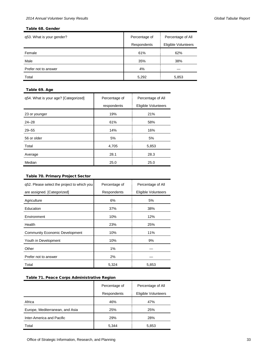### <span id="page-32-0"></span>Table 68. Gender

| q53. What is your gender? | Percentage of | Percentage of All   |  |
|---------------------------|---------------|---------------------|--|
|                           | Respondents   | Eligible Volunteers |  |
| Female                    | 61%           | 62%                 |  |
| Male                      | 35%           | 38%                 |  |
| Prefer not to answer      | 4%            |                     |  |
| Total                     | 5,292         | 5,853               |  |

## <span id="page-32-1"></span>Table 69. Age

| q54. What is your age? [Categorized] | Percentage of | Percentage of All   |
|--------------------------------------|---------------|---------------------|
|                                      | respondents   | Eligible Volunteers |
| 23 or younger                        | 19%           | 21%                 |
| $24 - 28$                            | 61%           | 58%                 |
| $29 - 55$                            | 14%           | 16%                 |
| 56 or older                          | 5%            | 5%                  |
| Total                                | 4,705         | 5,853               |
| Average                              | 28.1          | 28.3                |
| Median                               | 25.0          | 25.0                |

## <span id="page-32-2"></span>Table 70. Primary Project Sector

| q52. Please select the project to which you | Percentage of | Percentage of All   |
|---------------------------------------------|---------------|---------------------|
| are assigned. [Categorized]                 | Respondents   | Eligible Volunteers |
| Agriculture                                 | 6%            | 5%                  |
| Education                                   | 37%           | 38%                 |
| Environment                                 | 10%           | 12%                 |
| Health                                      | 23%           | 25%                 |
| <b>Community Economic Development</b>       | 10%           | 11%                 |
| Youth in Development                        | 10%           | 9%                  |
| Other                                       | 1%            |                     |
| Prefer not to answer                        | 2%            |                     |
| Total                                       | 5,324         | 5,853               |

## <span id="page-32-3"></span>Table 71. Peace Corps Administrative Region

|                                 | Percentage of | Percentage of All   |
|---------------------------------|---------------|---------------------|
|                                 | Respondents   | Eligible Volunteers |
| Africa                          | 46%           | 47%                 |
| Europe, Mediterranean, and Asia | 25%           | 25%                 |
| Inter-America and Pacific       | 29%           | 28%                 |
| Total                           | 5,344         | 5,853               |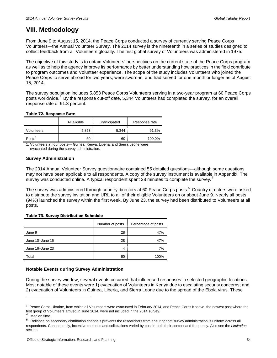## <span id="page-33-0"></span>**VIII. Methodology**

From June 9 to August 15, 2014, the Peace Corps conducted a survey of currently serving Peace Corps Volunteers—the Annual Volunteer Survey. The 2014 survey is the nineteenth in a series of studies designed to collect feedback from all Volunteers globally. The first global survey of Volunteers was administered in 1975.

The objective of this study is to obtain Volunteers' perspectives on the current state of the Peace Corps program as well as to help the agency improve its performance by better understanding how practices in the field contribute to program outcomes and Volunteer experience. The scope of the study includes Volunteers who joined the Peace Corps to serve abroad for two years, were sworn-in, and had served for one month or longer as of August 15, 2014.

The survey population includes 5,853 Peace Corps Volunteers serving in a two-year program at 60 Peace Corps posts worldwide.<sup>[3](#page-33-3)</sup> By the response cut-off date, 5,344 Volunteers had completed the survey, for an overall response rate of 91.3 percent.

## <span id="page-33-1"></span>Table 72. Response Rate

|            | All eligible | Participated | Response rate |
|------------|--------------|--------------|---------------|
| Volunteers | 5,853        | 5.344        | 91.3%         |
| Posts'     | 60           | 60           | 100.0%        |

1. Volunteers at four posts— Guinea, Kenya, Liberia, and Sierra Leone were evacuated during the survey administration.

## **Survey Administration**

The 2014 Annual Volunteer Survey questionnaire contained 55 detailed questions—although some questions may not have been applicable to all respondents. A copy of the survey instrument is available in Appendix. The survey was conducted online. A typical respondent spent 28 minutes to complete the survey.<sup>[4](#page-33-4)</sup>

The survey was administered through country directors at 60 Peace Corps posts. [5](#page-33-5) Country directors were asked to distribute the survey invitation and URL to all of their eligible Volunteers on or about June 9. Nearly all posts (94%) launched the survey within the first week. By June 23, the survey had been distributed to Volunteers at all posts.

## <span id="page-33-2"></span>Table 73. Survey Distribution Schedule

|                 | Number of posts | Percentage of posts |
|-----------------|-----------------|---------------------|
| June 9          | 28              | 47%                 |
| June 10-June 15 | 28              | 47%                 |
| June 16-June 23 | 4               | 7%                  |
| Total           | 60              | 100%                |

## **Notable Events during Survey Administration**

During the survey window, several events occurred that influenced responses in selected geographic locations. Most notable of these events were 1) evacuation of Volunteers in Kenya due to escalating security concerns; and, 2) evacuation of Volunteers in Guinea, Liberia, and Sierra Leone due to the spread of the Ebola virus. These

j

<span id="page-33-3"></span><sup>&</sup>lt;sup>3</sup> Peace Corps Ukraine, from which all Volunteers were evacuated in February 2014, and Peace Corps Kosovo, the newest post where the first group of Volunteers arrived in June 2014, were not included in the 2014 survey.

Median time.

<span id="page-33-5"></span><span id="page-33-4"></span><sup>&</sup>lt;sup>5</sup> Reliance on secondary distribution channels prevents the researchers from ensuring that survey administration is uniform across all respondents. Consequently, incentive methods and solicitations varied by post in both their content and frequency. Also see the *Limitation* section.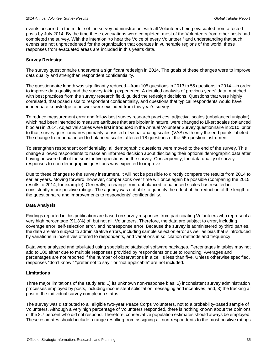events occurred in the middle of the survey administration, with all Volunteers being evacuated from affected posts by July 2014. By the time these evacuations were completed, most of the Volunteers from other posts had completed the survey. With the intention "to hear the Voice of every Volunteer," and understanding that such events are not unprecedented for the organization that operates in vulnerable regions of the world, these responses from evacuated areas are included in this year's data.

## **Survey Redesign**

The survey questionnaire underwent a significant redesign in 2014. The goals of these changes were to improve data quality and strengthen respondent confidentiality.

The questionnaire length was significantly reduced—from 105 questions in 2013 to 55 questions in 2014—in order to improve data quality and the survey-taking experience. A detailed analysis of previous years' data, matched with best practices from the survey research field, guided the redesign decisions. Questions that were highly correlated, that posed risks to respondent confidentiality, and questions that typical respondents would have inadequate knowledge to answer were excluded from this year's survey.

To reduce measurement error and follow best survey research practices, adjectival scales (unbalanced unipolar), which had been intended to measure attributes that are bipolar in nature, were changed to Likert scales (balanced bipolar) in 2014. Adjectival scales were first introduced in the Annual Volunteer Survey questionnaire in 2010; prior to that, survey questionnaires primarily consisted of visual analog scales (VAS) with only the end points labeled. The change from unbalanced to balanced scales affected 18 questions of the 55-question instrument.

To strengthen respondent confidentiality, all demographic questions were moved to the end of the survey. This change allowed respondents to make an informed decision about disclosing their optional demographic data after having answered all of the substantive questions on the survey. Consequently, the data quality of survey responses to non-demographic questions was expected to improve.

Due to these changes to the survey instrument, it will not be possible to directly compare the results from 2014 to earlier years. Moving forward, however, comparisons over time will once again be possible (comparing the 2015 results to 2014, for example). Generally, a change from unbalanced to balanced scales has resulted in consistently more positive ratings. The agency was not able to quantify the effect of the reduction of the length of the questionnaire and improvements to respondents' confidentiality.

## **Data Analysis**

Findings reported in this publication are based on survey responses from participating Volunteers who represent a very high percentage (91.3%) of, but not all, Volunteers. Therefore, the data are subject to error, including coverage error, self-selection error, and nonresponse error. Because the survey is administered by third parties, the data are also subject to administrative errors, including sample selection error as well as bias that is introduced by variations in incentives offered to respondents, and variations in solicitation methods and frequency.

Data were analyzed and tabulated using specialized statistical software packages. Percentages in tables may not add to 100 either due to multiple responses provided by respondents or due to rounding. Averages and percentages are not reported if the number of observations in a cell is less than five. Unless otherwise specified, responses "don't know," "prefer not to say," or "not applicable" are not included.

## **Limitations**

Three major limitations of the study are: 1) its unknown non-response bias; 2) inconsistent survey administration processes employed by posts, including inconsistent solicitation messaging and incentives; and, 3) the tracking at post of the individual survey completion status.

The survey was distributed to all eligible two-year Peace Corps Volunteers, not to a probability-based sample of Volunteers. Although a very high percentage of Volunteers responded, there is nothing known about the opinions of the 8.7 percent who did not respond. Therefore, conservative population estimates should always be employed. These estimates should include a range resulting from assigning all non-respondents to the most positive ratings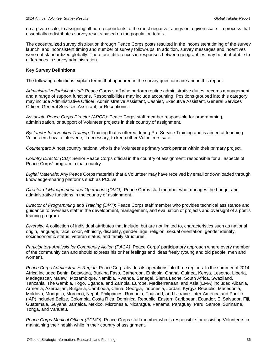on a given scale, to assigning all non-respondents to the most negative ratings on a given scale—a process that essentially redistributes survey results based on the population totals.

The decentralized survey distribution through Peace Corps posts resulted in the inconsistent timing of the survey launch, and inconsistent timing and number of survey follow-ups. In addition, survey messages and incentives were not standardized globally. Therefore, differences in responses between geographies may be attributable to differences in survey administration.

## **Key Survey Definitions**

The following definitions explain terms that appeared in the survey questionnaire and in this report.

*Administrative/logistical staff:* Peace Corps staff who perform routine administrative duties, records management, and a range of support functions. Responsibilities may include accounting. Positions grouped into this category may include Administrative Officer, Administrative Assistant, Cashier, Executive Assistant, General Services Officer, General Services Assistant, or Receptionist.

*Associate Peace Corps Director (APCD):* Peace Corps staff member responsible for programming, administration, or support of Volunteer projects in their country of assignment.

*Bystander Intervention Training:* Training that is offered during Pre-Service Training and is aimed at teaching Volunteers how to intervene, if necessary, to keep other Volunteers safe.

*Counterpart:* A host country national who is the Volunteer's primary work partner within their primary project.

*Country Director (CD):* Senior Peace Corps official in the country of assignment; responsible for all aspects of Peace Corps' program in that country.

*Digital Materials:* Any Peace Corps materials that a Volunteer may have received by email or downloaded through knowledge-sharing platforms such as PCLive.

*Director of Management and Operations (DMO):* Peace Corps staff member who manages the budget and administrative functions in the country of assignment.

*Director of Programming and Training (DPT)*: Peace Corps staff member who provides technical assistance and guidance to overseas staff in the development, management, and evaluation of projects and oversight of a post's training program.

*Diversity:* A collection of individual attributes that include, but are not limited to, characteristics such as national origin, language, race, color, ethnicity, disability, gender, age, religion, sexual orientation, gender identity, socioeconomic status, veteran status, and family structures.

*Participatory Analysis for Community Action (PACA)*: Peace Corps' participatory approach where every member of the community can and should express his or her feelings and ideas freely (young and old people, men and women).

*Peace Corps Administrative Region:* Peace Corps divides its operations into three regions. In the summer of 2014, Africa included Benin, Botswana, Burkina Faso, Cameroon, Ethiopia, Ghana, Guinea, Kenya, Lesotho, Liberia, Madagascar, Malawi, Mozambique, Namibia, Rwanda, Senegal, Sierra Leone, South Africa, Swaziland, Tanzania, The Gambia, Togo, Uganda, and Zambia. Europe, Mediterranean, and Asia (EMA) included Albania, Armenia, Azerbaijan, Bulgaria, Cambodia, China, Georgia, Indonesia, Jordan, Kyrgyz Republic, Macedonia, Moldova, Mongolia, Morocco, Nepal, Philippines, Romania, Thailand, and Ukraine. Inter-America and Pacific (IAP) included Belize, Colombia, Costa Rica, Dominical Republic, Eastern Caribbean, Ecuador, El Salvador, Fiji, Guatemala, Guyana, Jamaica, Mexico, Micronesia, Nicaragua, Panama, Paraguay, Peru, Samoa, Suriname, Tonga, and Vanuatu.

*Peace Corps Medical Officer (PCMO)*: Peace Corps staff member who is responsible for assisting Volunteers in maintaining their health while in their country of assignment.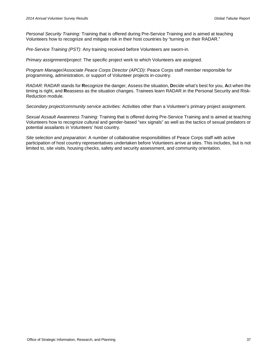*Personal Security Training:* Training that is offered during Pre-Service Training and is aimed at teaching Volunteers how to recognize and mitigate risk in their host countries by "turning on their RADAR."

*Pre-Service Training (PST)*: Any training received before Volunteers are sworn-in.

*Primary assignment/project:* The specific project work to which Volunteers are assigned.

*Program Manager/Associate Peace Corps Director (APCD)*: Peace Corps staff member responsible for programming, administration, or support of Volunteer projects in-country.

*RADAR:* RADAR stands for **R**ecognize the danger, Assess the situation, **D**ecide what's best for you, **A**ct when the timing is right, and **R**eassess as the situation changes. Trainees learn RADAR in the Personal Security and Risk-Reduction module.

*Secondary project/community service activities:* Activities other than a Volunteer's primary project assignment.

*Sexual Assault Awareness Training:* Training that is offered during Pre-Service Training and is aimed at teaching Volunteers how to recognize cultural and gender-based "sex signals" as well as the tactics of sexual predators or potential assailants in Volunteers' host country.

*Site selection and preparation:* A number of collaborative responsibilities of Peace Corps staff with active participation of host country representatives undertaken before Volunteers arrive at sites. This includes, but is not limited to, site visits, housing checks, safety and security assessment, and community orientation.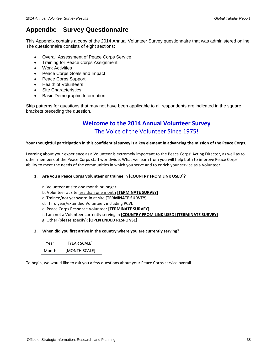## <span id="page-37-0"></span>**Appendix: Survey Questionnaire**

This Appendix contains a copy of the 2014 Annual Volunteer Survey questionnaire that was administered online. The questionnaire consists of eight sections:

- Overall Assessment of Peace Corps Service
- Training for Peace Corps Assignment
- Work Activities
- Peace Corps Goals and Impact
- Peace Corps Support
- Health of Volunteers
- **Site Characteristics**
- Basic Demographic Information

Skip patterns for questions that may not have been applicable to all respondents are indicated in the square brackets preceding the question.

## **Welcome to the 2014 Annual Volunteer Survey**  The Voice of the Volunteer Since 1975!

## **Your thoughtful participation in this confidential survey is a key element in advancing the mission of the Peace Corps.**

Learning about your experience as a Volunteer is extremely important to the Peace Corps' Acting Director, as well as to other members of the Peace Corps staff worldwide. What we learn from you will help both to improve Peace Corps' ability to meet the needs of the communities in which you serve and to enrich your service as a Volunteer.

## **1. Are you a Peace Corps Volunteer or trainee** in **[COUNTRY FROM LINK USED]?**

- a. Volunteer at site one month or longer
- b. Volunteer at site less than one month **[TERMINATE SURVEY]**
- c. Trainee/not yet sworn-in at site **[TERMINATE SURVEY]**
- d. Third year/extended Volunteer, including PCVL
- e. Peace Corps Response Volunteer **[TERMINATE SURVEY]**
- f. I am not a Volunteer currently serving in **[COUNTRY FROM LINK USED] [TERMINATE SURVEY]**
- g. Other (please specify): **[OPEN ENDED RESPONSE]**
- **2. When did you first arrive in the country where you are currently serving?**

| Year  | [YEAR SCALE]  |
|-------|---------------|
| Month | [MONTH SCALE] |

To begin, we would like to ask you a few questions about your Peace Corps service overall.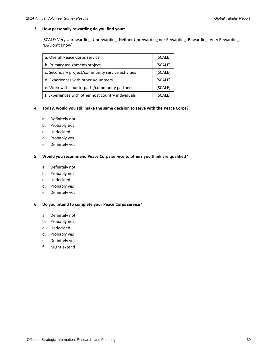## **3. How personally rewarding do you find your:**

[SCALE: Very Unrewarding, Unrewarding, Neither Unrewarding nor Rewarding, Rewarding, Very Rewarding, NA/Don't Know]

| a. Overall Peace Corps service                     | [SCALE] |
|----------------------------------------------------|---------|
| b. Primary assignment/project                      | [SCALE] |
| c. Secondary project/community service activities  | [SCALE] |
| d. Experiences with other Volunteers               | [SCALE] |
| e. Work with counterparts/community partners       | [SCALE] |
| f. Experiences with other host country individuals | [SCALE] |

## **4. Today, would you still make the same decision to serve with the Peace Corps?**

- a. Definitely not
- b. Probably not
- c. Undecided
- d. Probably yes
- e. Definitely yes

## **5. Would you recommend Peace Corps service to others you think are qualified?**

- a. Definitely not
- b. Probably not
- c. Undecided
- d. Probably yes
- e. Definitely yes

## **6. Do you intend to complete your Peace Corps service?**

- a. Definitely not
- b. Probably not
- c. Undecided
- d. Probably yes
- e. Definitely yes
- f. Might extend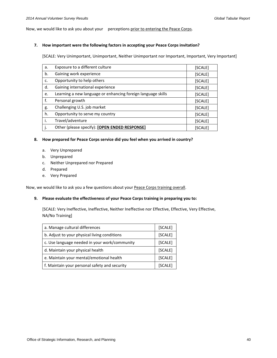Now, we would like to ask you about your perceptions prior to entering the Peace Corps.

### **7. How important were the following factors in accepting your Peace Corps invitation?**

[SCALE: Very Unimportant, Unimportant, Neither Unimportant nor Important, Important, Very Important]

| a. | Exposure to a different culture                              | [SCALE] |
|----|--------------------------------------------------------------|---------|
| b. | Gaining work experience                                      | [SCALE] |
| c. | Opportunity to help others                                   | [SCALE] |
| d. | Gaining international experience                             | [SCALE] |
| e. | Learning a new language or enhancing foreign language skills | [SCALE] |
| f. | Personal growth                                              | [SCALE] |
| g. | Challenging U.S. job market                                  | [SCALE] |
| h. | Opportunity to serve my country                              | [SCALE] |
| i. | Travel/adventure                                             | [SCALE] |
| j. | Other (please specify): [OPEN ENDED RESPONSE]                | [SCALE] |

### **8. How prepared for Peace Corps service did you feel when you arrived in country?**

- a. Very Unprepared
- b. Unprepared
- c. Neither Unprepared nor Prepared
- d. Prepared
- e. Very Prepared

Now, we would like to ask you a few questions about your Peace Corps training overall.

## **9. Please evaluate the effectiveness of your Peace Corps training in preparing you to:**

[SCALE: Very Ineffective, Ineffective, Neither Ineffective nor Effective, Effective, Very Effective, NA/No Training]

| a. Manage cultural differences                | [SCALE] |
|-----------------------------------------------|---------|
| b. Adjust to your physical living conditions  | [SCALE] |
| c. Use language needed in your work/community |         |
| d. Maintain your physical health              |         |
| e. Maintain your mental/emotional health      | [SCALE] |
| f. Maintain your personal safety and security | [SCALE] |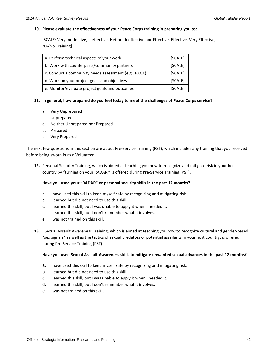### **10. Please evaluate the effectiveness of your Peace Corps training in preparing you to:**

[SCALE: Very Ineffective, Ineffective, Neither Ineffective nor Effective, Effective, Very Effective, NA/No Training]

| a. Perform technical aspects of your work            |  |
|------------------------------------------------------|--|
| b. Work with counterparts/community partners         |  |
| c. Conduct a community needs assessment (e.g., PACA) |  |
| d. Work on your project goals and objectives         |  |
| e. Monitor/evaluate project goals and outcomes       |  |

## **11. In general, how prepared do you feel today to meet the challenges of Peace Corps service?**

- a. Very Unprepared
- b. Unprepared
- c. Neither Unprepared nor Prepared
- d. Prepared
- e. Very Prepared

The next few questions in this section are about Pre-Service Training (PST), which includes any training that you received before being sworn in as a Volunteer.

**12.** Personal Security Training, which is aimed at teaching you how to recognize and mitigate risk in your host country by "turning on your RADAR," is offered during Pre-Service Training (PST).

## **Have you used your "RADAR" or personal security skills in the past 12 months?**

- a. I have used this skill to keep myself safe by recognizing and mitigating risk.
- b. I learned but did not need to use this skill.
- c. I learned this skill, but I was unable to apply it when I needed it.
- d. I learned this skill, but I don't remember what it involves.
- e. I was not trained on this skill.
- **13.** Sexual Assault Awareness Training, which is aimed at teaching you how to recognize cultural and gender-based "sex signals" as well as the tactics of sexual predators or potential assailants in your host country, is offered during Pre-Service Training (PST).

#### **Have you used Sexual Assault Awareness skills to mitigate unwanted sexual advances in the past 12 months?**

- a. I have used this skill to keep myself safe by recognizing and mitigating risk.
- b. I learned but did not need to use this skill.
- c. I learned this skill, but I was unable to apply it when I needed it.
- d. I learned this skill, but I don't remember what it involves.
- e. I was not trained on this skill.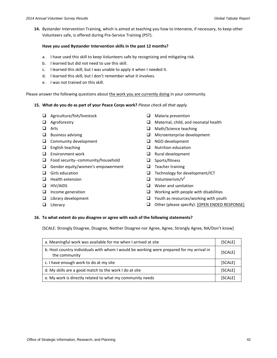**14.** Bystander Intervention Training, which is aimed at teaching you how to intervene, if necessary, to keep other Volunteers safe, is offered during Pre-Service Training (PST).

## **Have you used Bystander Intervention skills in the past 12 months?**

- a. I have used this skill to keep Volunteers safe by recognizing and mitigating risk.
- b. I learned but did not need to use this skill.
- c. I learned this skill, but I was unable to apply it when I needed it.
- d. I learned this skill, but I don't remember what it involves.
- e. I was not trained on this skill.

Please answer the following questions about the work you are currently doing in your community.

## **15. What do you do as part of your Peace Corps work?** *Please check all that apply.*

- □ Agriculture/fish/livestock
- **Q** Agroforestry
- **Q** Arts
- $\Box$  Business advising
- $\Box$  Community development
- $\Box$  English teaching
- $\Box$  Environment work
- □ Food security--community/household
- $\Box$  Gender equity/women's empowerment
- $\Box$  Girls education
- $\Box$  Health extension
- **HIV/AIDS**
- $\Box$  Income generation
- $\Box$  Library development
- **Literacy**
- $\Box$  Malaria prevention
- **Q** Maternal, child, and neonatal health
- □ Math/Science teaching
- Microenterprise development
- □ NGO development
- $\Box$  Nutrition education
- $\Box$  Rural development
- □ Sports/fitness
- $\Box$  Teacher training
- $\Box$  Technology for development/ICT
- $\Box$  Volunteerism/ $V^2$
- **Q** Water and sanitation
- $\Box$  Working with people with disabilities
- $\Box$  Youth as resources/working with youth
- Other (please specify): [OPEN ENDED RESPONSE]

## **16. To what extent do you disagree or agree with each of the following statements?**

[SCALE: Strongly Disagree, Disagree, Neither Disagree nor Agree, Agree, Strongly Agree, NA/Don't know]

| a. Meaningful work was available for me when I arrived at site                                            | [SCALE] |
|-----------------------------------------------------------------------------------------------------------|---------|
| b. Host country individuals with whom I would be working were prepared for my arrival in<br>the community | [SCALE] |
| c. I have enough work to do at my site                                                                    | [SCALE] |
| d. My skills are a good match to the work I do at site                                                    | [SCALE] |
| e. My work is directly related to what my community needs                                                 | [SCALE] |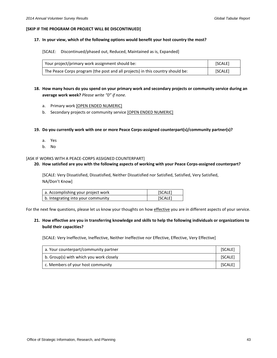### **[SKIP IF THE PROGRAM OR PROJECT WILL BE DISCONTINUED]**

### **17. In your view, which of the following options would benefit your host country the most?**

[SCALE: Discontinued/phased out, Reduced, Maintained as is, Expanded]

| Your project/primary work assignment should be:                                | <b>SCALET</b> |
|--------------------------------------------------------------------------------|---------------|
| The Peace Corps program (the post and all projects) in this country should be: | [SCALE]       |

- **18. How many hours do you spend on your primary work and secondary projects or community service during an average work week?** *Please write "0" if none.*
	- a. Primary work [OPEN ENDED NUMERIC]
	- b. Secondary projects or community service [OPEN ENDED NUMERIC]
- **19. Do you currently work with one or more Peace Corps-assigned counterpart(s)/community partner(s)?**
	- a. Yes
	- b. No

#### [ASK IF WORKS WITH A PEACE-CORPS ASSIGNED COUNTERPART]

#### **20. How satisfied are you with the following aspects of working with your Peace Corps-assigned counterpart?**

[SCALE: Very Dissatisfied, Dissatisfied, Neither Dissatisfied nor Satisfied, Satisfied, Very Satisfied, NA/Don't Know]

| a. Accomplishing your project work | [SCALE] |
|------------------------------------|---------|
| b. Integrating into your community | [SCALE] |

For the next few questions, please let us know your thoughts on how effective you are in different aspects of your service.

## **21. How effective are you in transferring knowledge and skills to help the following individuals or organizations to build their capacities?**

[SCALE: Very Ineffective, Ineffective, Neither Ineffective nor Effective, Effective, Very Effective]

| a. Your counterpart/community partner   | [SCALE] |
|-----------------------------------------|---------|
| b. Group(s) with which you work closely | [SCALE] |
| c. Members of your host community       | [SCALE] |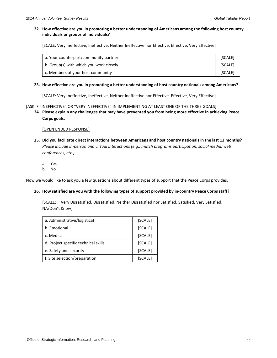## **22. How effective are you in promoting a better understanding of Americans among the following host country individuals or groups of individuals?**

[SCALE: Very Ineffective, Ineffective, Neither Ineffective nor Effective, Effective, Very Effective]

| a. Your counterpart/community partner   | [SCALE] |
|-----------------------------------------|---------|
| b. Group(s) with which you work closely | [SCALE] |
| c. Members of your host community       | [SCALE] |

## **23. How effective are you in promoting a better understanding of host country nationals among Americans?**

[SCALE: Very Ineffective, Ineffective, Neither Ineffective nor Effective, Effective, Very Effective]

[ASK IF "INEFFECTIVE" OR "VERY INEFFECTIVE" IN IMPLEMENTING AT LEAST ONE OF THE THREE GOALS]

**24. Please explain any challenges that may have prevented you from being more effective in achieving Peace Corps goals.**

## [OPEN ENDED RESPONSE]

- **25. Did you facilitate direct interactions between Americans and host country nationals in the last 12 months?**  *Please include in-person and virtual interactions (e.g., match programs participation, social media, web conferences, etc.).*
	- a. Yes
	- b. No

Now we would like to ask you a few questions about different types of support that the Peace Corps provides.

## **26. How satisfied are you with the following types of support provided by in-country Peace Corps staff?**

[SCALE: Very Dissatisfied, Dissatisfied, Neither Dissatisfied nor Satisfied, Satisfied, Very Satisfied, NA/Don't Know]

| a. Administrative/logistical         | [SCALE] |
|--------------------------------------|---------|
| b. Emotional                         | [SCALE] |
| c. Medical                           | [SCALE] |
| d. Project specific technical skills | [SCALE] |
| e. Safety and security               | [SCALE] |
| f. Site selection/preparation        | [SCALE] |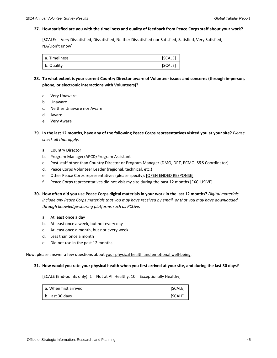### **27. How satisfied are you with the timeliness and quality of feedback from Peace Corps staff about your work?**

[SCALE: Very Dissatisfied, Dissatisfied, Neither Dissatisfied nor Satisfied, Satisfied, Very Satisfied, NA/Don't Know]

| a. Timeliness | [SCALE] |
|---------------|---------|
| b. Quality    | [SCALE] |

- **28. To what extent is your current Country Director aware of Volunteer issues and concerns (through in-person, phone, or electronic interactions with Volunteers)?**
	- a. Very Unaware
	- b. Unaware
	- c. Neither Unaware nor Aware
	- d. Aware
	- e. Very Aware
- **29. In the last 12 months, have any of the following Peace Corps representatives visited you at your site?** *Please check all that apply.*
	- a. Country Director
	- b. Program Manager/APCD/Program Assistant
	- c. Post staff other than Country Director or Program Manager (DMO, DPT, PCMO, S&S Coordinator)
	- d. Peace Corps Volunteer Leader (regional, technical, etc.)
	- e. Other Peace Corps representatives (please specify): [OPEN ENDED RESPONSE]
	- f. Peace Corps representatives did not visit my site during the past 12 months [EXCLUSIVE]
- **30. How often did you use Peace Corps digital materials in your work in the last 12 months?** *Digital materials include any Peace Corps materials that you may have received by email, or that you may have downloaded through knowledge-sharing platforms such as PCLive.*
	- a. At least once a day
	- b. At least once a week, but not every day
	- c. At least once a month, but not every week
	- d. Less than once a month
	- e. Did not use in the past 12 months

Now, please answer a few questions about your physical health and emotional well-being.

#### **31. How would you rate your physical health when you first arrived at your site, and during the last 30 days?**

[SCALE (End-points only): 1 = Not at All Healthy, 10 = Exceptionally Healthy]

| a. When first arrived | [SCALE] |
|-----------------------|---------|
| b. Last 30 days       | [SCALE] |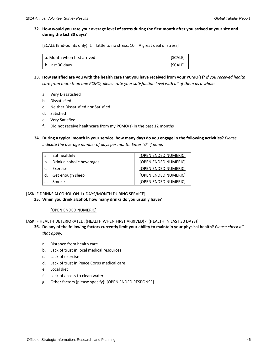## **32. How would you rate your average level of stress during the first month after you arrived at your site and during the last 30 days?**

[SCALE (End-points only):  $1 =$  Little to no stress,  $10 =$  A great deal of stress]

| a. Month when first arrived | [SCALE] |
|-----------------------------|---------|
| b. Last 30 days             | [SCALE] |

- **33. How satisfied are you with the health care that you have received from your PCMO(s)?** *If you received health care from more than one PCMO, please rate your satisfaction level with all of them as a whole.*
	- a. Very Dissatisfied
	- b. Dissatisfied
	- c. Neither Dissatisfied nor Satisfied
	- d. Satisfied
	- e. Very Satisfied
	- f. Did not receive healthcare from my PCMO(s) in the past 12 months

## **34. During a typical month in your service, how many days do you engage in the following activities?** *Please indicate the average number of days per month. Enter "0" if none.*

| a.         | Eat healthily                | [OPEN ENDED NUMERIC]        |
|------------|------------------------------|-----------------------------|
|            | b. Drink alcoholic beverages | <b>[OPEN ENDED NUMERIC]</b> |
| $\epsilon$ | Exercise                     | [OPEN ENDED NUMERIC]        |
| d.         | Get enough sleep             | [OPEN ENDED NUMERIC]        |
| $\epsilon$ | Smoke                        | <b>[OPEN ENDED NUMERIC]</b> |

## [ASK IF DRINKS ALCOHOL ON 1+ DAYS/MONTH DURING SERVICE]

**35. When you drink alcohol, how many drinks do you usually have?**

## [OPEN ENDED NUMERIC]

[ASK IF HEALTH DETERIORATED: (HEALTH WHEN FIRST ARRIVED) < (HEALTH IN LAST 30 DAYS)]

- **36. Do any of the following factors currently limit your ability to maintain your physical health?** *Please check all that apply.*
	- a. Distance from health care
	- b. Lack of trust in local medical resources
	- c. Lack of exercise
	- d. Lack of trust in Peace Corps medical care
	- e. Local diet
	- f. Lack of access to clean water
	- g. Other factors (please specify): [OPEN ENDED RESPONSE]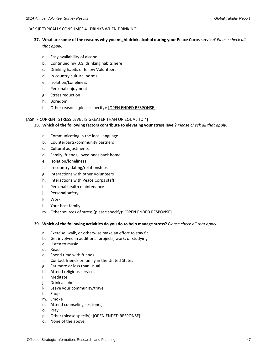### [ASK IF TYPICALLY CONSUMES 4+ DRINKS WHEN DRINKING]

- **37. What are some of the reasons why you might drink alcohol during your Peace Corps service?** *Please check all that apply.*
	- a. Easy availability of alcohol
	- b. Continued my U.S. drinking habits here
	- c. Drinking habits of fellow Volunteers
	- d. In-country cultural norms
	- e. Isolation/Loneliness
	- f. Personal enjoyment
	- g. Stress reduction
	- h. Boredom
	- i. Other reasons (please specify): [OPEN ENDED RESPONSE]

## [ASK IF CURRENT STRESS LEVEL IS GREATER THAN OR EQUAL TO 4]

- **38. Which of the following factors contribute to elevating your stress level?** *Please check all that apply.*
	- a. Communicating in the local language
	- b. Counterparts/community partners
	- c. Cultural adjustments
	- d. Family, friends, loved ones back home
	- e. Isolation/loneliness
	- f. In-country dating/relationships
	- g. Interactions with other Volunteers
	- h. Interactions with Peace Corps staff
	- i. Personal health maintenance
	- j. Personal safety
	- k. Work
	- l. Your host family
	- m. Other sources of stress (please specify): [OPEN ENDED RESPONSE]

## **39. Which of the following activities do you do to help manage stress?** *Please check all that apply.*

- a. Exercise, walk, or otherwise make an effort to stay fit
- b. Get involved in additional projects, work, or studying
- c. Listen to music
- d. Read
- e. Spend time with friends
- f. Contact friends or family in the United States
- g. Eat more or less than usual
- h. Attend religious services
- i. Meditate
- j. Drink alcohol
- k. Leave your community/travel
- l. Shop
- m. Smoke
- n. Attend counseling session(s)
- o. Pray
- p. Other (please specify): [OPEN ENDED RESPONSE]
- q. None of the above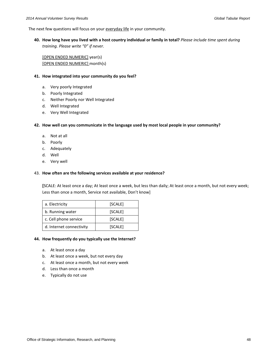The next few questions will focus on your everyday life in your community.

**40. How long have you lived with a host country individual or family in total?** *Please include time spent during training. Please write "0" if never.*

[OPEN ENDED NUMERIC] year(s) [OPEN ENDED NUMERIC] month(s)

## **41. How integrated into your community do you feel?**

- a. Very poorly Integrated
- b. Poorly Integrated
- c. Neither Poorly nor Well Integrated
- d. Well Integrated
- e. Very Well Integrated

## **42. How well can you communicate in the language used by most local people in your community?**

- a. Not at all
- b. Poorly
- c. Adequately
- d. Well
- e. Very well

## 43. **How often are the following services available at your residence?**

**[**SCALE: At least once a day; At least once a week, but less than daily; At least once a month, but not every week; Less than once a month, Service not available, Don't know]

| a. Electricity           | [SCALE] |
|--------------------------|---------|
| b. Running water         | [SCALE] |
| c. Cell phone service    | [SCALE] |
| d. Internet connectivity | [SCALE] |

## **44. How frequently do you typically use the Internet?**

- a. At least once a day
- b. At least once a week, but not every day
- c. At least once a month, but not every week
- d. Less than once a month
- e. Typically do not use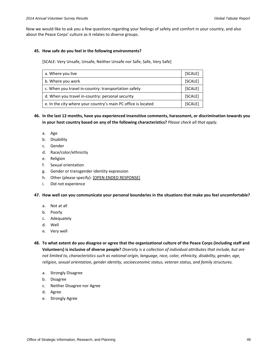Now we would like to ask you a few questions regarding your feelings of safety and comfort in your country, and also about the Peace Corps' culture as it relates to diverse groups.

## **45. How safe do you feel in the following environments?**

[SCALE: Very Unsafe, Unsafe, Neither Unsafe nor Safe, Safe, Very Safe]

| a. Where you live                                             | [SCALE] |
|---------------------------------------------------------------|---------|
| b. Where you work                                             | [SCALE] |
| c. When you travel in-country: transportation safety          | [SCALE] |
| d. When you travel in-country: personal security              |         |
| e. In the city where your country's main PC office is located | [SCALE] |

**46. In the last 12 months, have you experienced insensitive comments, harassment, or discrimination towards you in your host country based on any of the following characteristics?** *Please check all that apply.*

- a. Age
- b. Disability
- c. Gender
- d. Race/color/ethnicity
- e. Religion
- f. Sexual orientation
- g. Gender or transgender identity expression
- h. Other (please specify): [OPEN ENDED RESPONSE]
- i. Did not experience

**47. How well can you communicate your personal boundaries in the situations that make you feel uncomfortable?**

- a. Not at all
- b. Poorly
- c. Adequately
- d. Well
- e. Very well
- **48. To what extent do you disagree or agree that the organizational culture of the Peace Corps (including staff and Volunteers) is inclusive of diverse people?** *Diversity is a collection of individual attributes that include, but are not limited to, characteristics such as national origin, language, race, color, ethnicity, disability, gender, age, religion, sexual orientation, gender identity, socioeconomic status, veteran status, and family structures.*
	- a. Strongly Disagree
	- b. Disagree
	- c. Neither Disagree nor Agree
	- d. Agree
	- e. Strongly Agree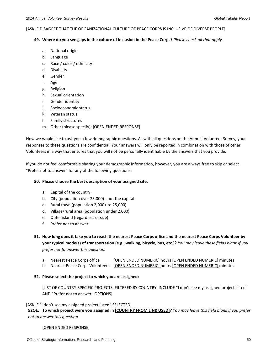#### [ASK IF DISAGREE THAT THE ORGANIZATIONAL CULTURE OF PEACE CORPS IS INCLUSIVE OF DIVERSE PEOPLE]

## **49. Where do you see gaps in the culture of inclusion in the Peace Corps?** *Please check all that apply.*

- a. National origin
- b. Language
- c. Race / color / ethnicity
- d. Disability
- e. Gender
- f. Age
- g. Religion
- h. Sexual orientation
- i. Gender identity
- j. Socioeconomic status
- k. Veteran status
- l. Family structures
- m. Other (please specify): [OPEN ENDED RESPONSE]

Now we would like to ask you a few demographic questions. As with all questions on the Annual Volunteer Survey, your responses to these questions are confidential. Your answers will only be reported in combination with those of other Volunteers in a way that ensures that you will not be personally identifiable by the answers that you provide.

If you do not feel comfortable sharing your demographic information, however, you are always free to skip or select "Prefer not to answer" for any of the following questions.

## **50. Please choose the best description of your assigned site.**

- a. Capital of the country
- b. City (population over 25,000) not the capital
- c. Rural town (population 2,000+ to 25,000)
- d. Village/rural area (population under 2,000)
- e. Outer island (regardless of size)
- f. Prefer not to answer
- **51. How long does it take you to reach the nearest Peace Corps office and the nearest Peace Corps Volunteer by your typical mode(s) of transportation (e.g., walking, bicycle, bus, etc.)?** *You may leave these fields blank if you prefer not to answer this question.*
	- a. Nearest Peace Corps office [OPEN ENDED NUMERIC] hours [OPEN ENDED NUMERIC] minutes
	- b. Nearest Peace Corps Volunteers [OPEN ENDED NUMERIC] hours [OPEN ENDED NUMERIC] minutes

## **52. Please select the project to which you are assigned:**

[LIST OF COUNTRY-SPECIFIC PROJECTS, FILTERED BY COUNTRY. INCLUDE "I don't see my assigned project listed" AND "Prefer not to answer" OPTIONS]

## [ASK IF "I don't see my assigned project listed" SELECTED]

**52OE. To which project were you assigned in [COUNTRY FROM LINK USED]?** *You may leave this field blank if you prefer not to answer this question.*

## [OPEN ENDED RESPONSE]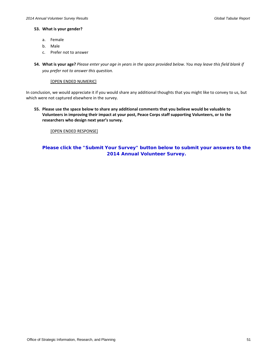## **53. What is your gender?**

- a. Female
- b. Male
- c. Prefer not to answer
- **54. What is your age?** *Please enter your age in years in the space provided below. You may leave this field blank if you prefer not to answer this question.*

## [OPEN ENDED NUMERIC]

In conclusion, we would appreciate it if you would share any additional thoughts that you might like to convey to us, but which were not captured elsewhere in the survey.

**55. Please use the space below to share any additional comments that you believe would be valuable to Volunteers in improving their impact at your post, Peace Corps staff supporting Volunteers, or to the researchers who design next year's survey.**

## [OPEN ENDED RESPONSE]

## **Please click the "Submit Your Survey" button below to submit your answers to the 2014 Annual Volunteer Survey.**